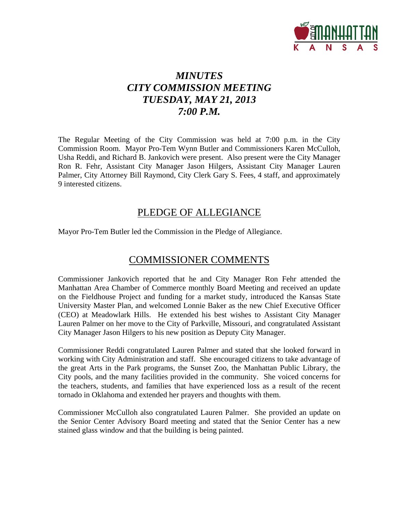

# *MINUTES CITY COMMISSION MEETING TUESDAY, MAY 21, 2013 7:00 P.M.*

The Regular Meeting of the City Commission was held at 7:00 p.m. in the City Commission Room. Mayor Pro-Tem Wynn Butler and Commissioners Karen McCulloh, Usha Reddi, and Richard B. Jankovich were present. Also present were the City Manager Ron R. Fehr, Assistant City Manager Jason Hilgers, Assistant City Manager Lauren Palmer, City Attorney Bill Raymond, City Clerk Gary S. Fees, 4 staff, and approximately 9 interested citizens.

## PLEDGE OF ALLEGIANCE

Mayor Pro-Tem Butler led the Commission in the Pledge of Allegiance.

# COMMISSIONER COMMENTS

Commissioner Jankovich reported that he and City Manager Ron Fehr attended the Manhattan Area Chamber of Commerce monthly Board Meeting and received an update on the Fieldhouse Project and funding for a market study, introduced the Kansas State University Master Plan, and welcomed Lonnie Baker as the new Chief Executive Officer (CEO) at Meadowlark Hills. He extended his best wishes to Assistant City Manager Lauren Palmer on her move to the City of Parkville, Missouri, and congratulated Assistant City Manager Jason Hilgers to his new position as Deputy City Manager.

Commissioner Reddi congratulated Lauren Palmer and stated that she looked forward in working with City Administration and staff. She encouraged citizens to take advantage of the great Arts in the Park programs, the Sunset Zoo, the Manhattan Public Library, the City pools, and the many facilities provided in the community. She voiced concerns for the teachers, students, and families that have experienced loss as a result of the recent tornado in Oklahoma and extended her prayers and thoughts with them.

Commissioner McCulloh also congratulated Lauren Palmer. She provided an update on the Senior Center Advisory Board meeting and stated that the Senior Center has a new stained glass window and that the building is being painted.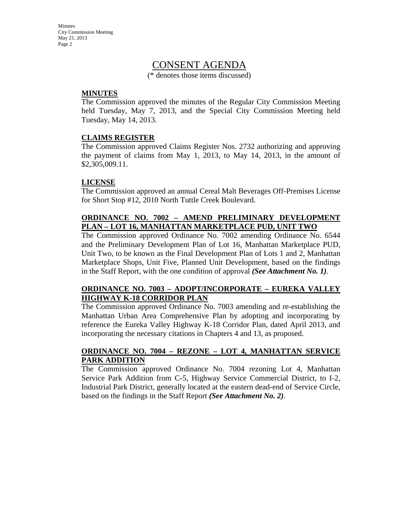## CONSENT AGENDA

(\* denotes those items discussed)

#### **MINUTES**

The Commission approved the minutes of the Regular City Commission Meeting held Tuesday, May 7, 2013, and the Special City Commission Meeting held Tuesday, May 14, 2013.

#### **CLAIMS REGISTER**

The Commission approved Claims Register Nos. 2732 authorizing and approving the payment of claims from May 1, 2013, to May 14, 2013, in the amount of \$2,305,009.11.

#### **LICENSE**

The Commission approved an annual Cereal Malt Beverages Off-Premises License for Short Stop #12, 2010 North Tuttle Creek Boulevard.

## **ORDINANCE NO. 7002 – AMEND PRELIMINARY DEVELOPMENT PLAN – LOT 16, MANHATTAN MARKETPLACE PUD, UNIT TWO**

The Commission approved Ordinance No. 7002 amending Ordinance No. 6544 and the Preliminary Development Plan of Lot 16, Manhattan Marketplace PUD, Unit Two, to be known as the Final Development Plan of Lots 1 and 2, Manhattan Marketplace Shops, Unit Five, Planned Unit Development, based on the findings in the Staff Report, with the one condition of approval *(See Attachment No. 1)*.

## **ORDINANCE NO. 7003 – ADOPT/INCORPORATE – EUREKA VALLEY HIGHWAY K-18 CORRIDOR PLAN**

The Commission approved Ordinance No. 7003 amending and re-establishing the Manhattan Urban Area Comprehensive Plan by adopting and incorporating by reference the Eureka Valley Highway K-18 Corridor Plan, dated April 2013, and incorporating the necessary citations in Chapters 4 and 13, as proposed.

#### **ORDINANCE NO. 7004 – REZONE – LOT 4, MANHATTAN SERVICE PARK ADDITION**

The Commission approved Ordinance No. 7004 rezoning Lot 4, Manhattan Service Park Addition from C-5, Highway Service Commercial District, to I-2, Industrial Park District, generally located at the eastern dead-end of Service Circle, based on the findings in the Staff Report *(See Attachment No. 2)*.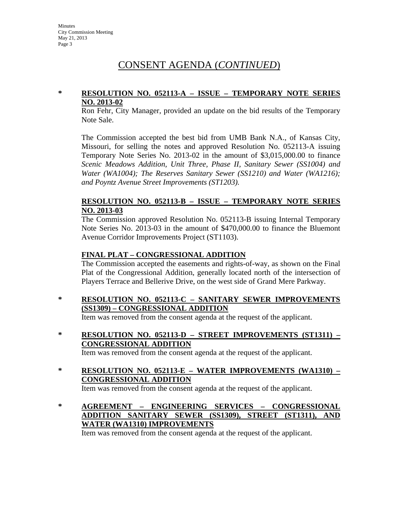# CONSENT AGENDA (*CONTINUED*)

#### **\* RESOLUTION NO. 052113-A – ISSUE – TEMPORARY NOTE SERIES NO. 2013-02**

Ron Fehr, City Manager, provided an update on the bid results of the Temporary Note Sale.

The Commission accepted the best bid from UMB Bank N.A., of Kansas City, Missouri, for selling the notes and approved Resolution No. 052113-A issuing Temporary Note Series No. 2013-02 in the amount of \$3,015,000.00 to finance *Scenic Meadows Addition, Unit Three, Phase II, Sanitary Sewer (SS1004) and Water (WA1004); The Reserves Sanitary Sewer (SS1210) and Water (WA1216); and Poyntz Avenue Street Improvements (ST1203).*

#### **RESOLUTION NO. 052113-B – ISSUE – TEMPORARY NOTE SERIES NO. 2013-03**

The Commission approved Resolution No. 052113-B issuing Internal Temporary Note Series No. 2013-03 in the amount of \$470,000.00 to finance the Bluemont Avenue Corridor Improvements Project (ST1103).

## **FINAL PLAT – CONGRESSIONAL ADDITION**

The Commission accepted the easements and rights-of-way, as shown on the Final Plat of the Congressional Addition, generally located north of the intersection of Players Terrace and Bellerive Drive, on the west side of Grand Mere Parkway.

**\* RESOLUTION NO. 052113-C – SANITARY SEWER IMPROVEMENTS (SS1309) – CONGRESSIONAL ADDITION**

Item was removed from the consent agenda at the request of the applicant.

**\* RESOLUTION NO. 052113-D – STREET IMPROVEMENTS (ST1311) – CONGRESSIONAL ADDITION**

Item was removed from the consent agenda at the request of the applicant.

- **\* RESOLUTION NO. 052113-E WATER IMPROVEMENTS (WA1310) – CONGRESSIONAL ADDITION** Item was removed from the consent agenda at the request of the applicant.
- **\* AGREEMENT ENGINEERING SERVICES CONGRESSIONAL ADDITION SANITARY SEWER (SS1309), STREET (ST1311), AND WATER (WA1310) IMPROVEMENTS**

Item was removed from the consent agenda at the request of the applicant.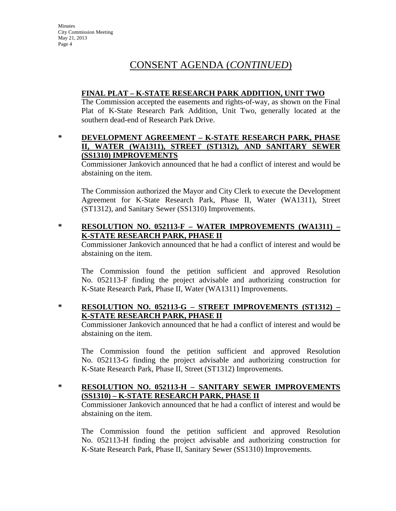# CONSENT AGENDA (*CONTINUED*)

## **FINAL PLAT – K-STATE RESEARCH PARK ADDITION, UNIT TWO**

The Commission accepted the easements and rights-of-way, as shown on the Final Plat of K-State Research Park Addition, Unit Two, generally located at the southern dead-end of Research Park Drive.

#### **\* DEVELOPMENT AGREEMENT – K-STATE RESEARCH PARK, PHASE II, WATER (WA1311), STREET (ST1312), AND SANITARY SEWER (SS1310) IMPROVEMENTS**

Commissioner Jankovich announced that he had a conflict of interest and would be abstaining on the item.

The Commission authorized the Mayor and City Clerk to execute the Development Agreement for K-State Research Park, Phase II, Water (WA1311), Street (ST1312), and Sanitary Sewer (SS1310) Improvements.

## **\* RESOLUTION NO. 052113-F – WATER IMPROVEMENTS (WA1311) – K-STATE RESEARCH PARK, PHASE II**

Commissioner Jankovich announced that he had a conflict of interest and would be abstaining on the item.

The Commission found the petition sufficient and approved Resolution No. 052113-F finding the project advisable and authorizing construction for K-State Research Park, Phase II, Water (WA1311) Improvements.

## **\* RESOLUTION NO. 052113-G – STREET IMPROVEMENTS (ST1312) – K-STATE RESEARCH PARK, PHASE II**

Commissioner Jankovich announced that he had a conflict of interest and would be abstaining on the item.

The Commission found the petition sufficient and approved Resolution No. 052113-G finding the project advisable and authorizing construction for K-State Research Park, Phase II, Street (ST1312) Improvements.

## **\* RESOLUTION NO. 052113-H – SANITARY SEWER IMPROVEMENTS (SS1310) – K-STATE RESEARCH PARK, PHASE II**

Commissioner Jankovich announced that he had a conflict of interest and would be abstaining on the item.

The Commission found the petition sufficient and approved Resolution No. 052113-H finding the project advisable and authorizing construction for K-State Research Park, Phase II, Sanitary Sewer (SS1310) Improvements.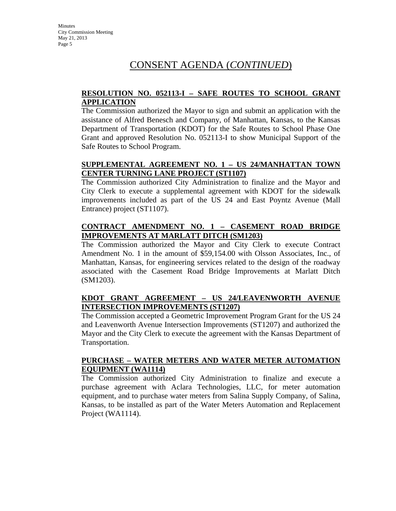# CONSENT AGENDA (*CONTINUED*)

#### **RESOLUTION NO. 052113-I – SAFE ROUTES TO SCHOOL GRANT APPLICATION**

The Commission authorized the Mayor to sign and submit an application with the assistance of Alfred Benesch and Company, of Manhattan, Kansas, to the Kansas Department of Transportation (KDOT) for the Safe Routes to School Phase One Grant and approved Resolution No. 052113-I to show Municipal Support of the Safe Routes to School Program.

## **SUPPLEMENTAL AGREEMENT NO. 1 – US 24/MANHATTAN TOWN CENTER TURNING LANE PROJECT (ST1107)**

The Commission authorized City Administration to finalize and the Mayor and City Clerk to execute a supplemental agreement with KDOT for the sidewalk improvements included as part of the US 24 and East Poyntz Avenue (Mall Entrance) project (ST1107).

## **CONTRACT AMENDMENT NO. 1 – CASEMENT ROAD BRIDGE IMPROVEMENTS AT MARLATT DITCH (SM1203)**

The Commission authorized the Mayor and City Clerk to execute Contract Amendment No. 1 in the amount of \$59,154.00 with Olsson Associates, Inc., of Manhattan, Kansas, for engineering services related to the design of the roadway associated with the Casement Road Bridge Improvements at Marlatt Ditch (SM1203).

## **KDOT GRANT AGREEMENT – US 24/LEAVENWORTH AVENUE INTERSECTION IMPROVEMENTS (ST1207)**

The Commission accepted a Geometric Improvement Program Grant for the US 24 and Leavenworth Avenue Intersection Improvements (ST1207) and authorized the Mayor and the City Clerk to execute the agreement with the Kansas Department of Transportation.

#### **PURCHASE – WATER METERS AND WATER METER AUTOMATION EQUIPMENT (WA1114)**

The Commission authorized City Administration to finalize and execute a purchase agreement with Aclara Technologies, LLC, for meter automation equipment, and to purchase water meters from Salina Supply Company, of Salina, Kansas, to be installed as part of the Water Meters Automation and Replacement Project (WA1114).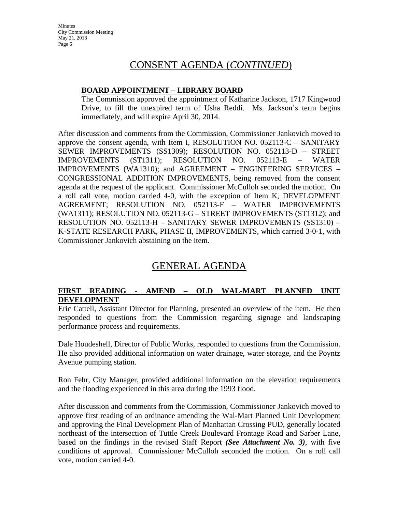# CONSENT AGENDA (*CONTINUED*)

## **BOARD APPOINTMENT – LIBRARY BOARD**

The Commission approved the appointment of Katharine Jackson, 1717 Kingwood Drive, to fill the unexpired term of Usha Reddi. Ms. Jackson's term begins immediately, and will expire April 30, 2014.

After discussion and comments from the Commission, Commissioner Jankovich moved to approve the consent agenda, with Item I, RESOLUTION NO.  $0.052113-C -$  SANITARY SEWER IMPROVEMENTS (SS1309); RESOLUTION NO. 052113-D – STREET IMPROVEMENTS (ST1311); RESOLUTION NO. 052113-E – WATER IMPROVEMENTS (WA1310); and AGREEMENT – ENGINEERING SERVICES – CONGRESSIONAL ADDITION IMPROVEMENTS, being removed from the consent agenda at the request of the applicant. Commissioner McCulloh seconded the motion. On a roll call vote, motion carried 4-0, with the exception of Item K, DEVELOPMENT AGREEMENT; RESOLUTION NO. 052113-F – WATER IMPROVEMENTS (WA1311); RESOLUTION NO. 052113-G – STREET IMPROVEMENTS (ST1312); and RESOLUTION NO. 052113-H – SANITARY SEWER IMPROVEMENTS (SS1310) – K-STATE RESEARCH PARK, PHASE II, IMPROVEMENTS, which carried 3-0-1, with Commissioner Jankovich abstaining on the item.

# GENERAL AGENDA

## **FIRST READING - AMEND – OLD WAL-MART PLANNED UNIT DEVELOPMENT**

Eric Cattell, Assistant Director for Planning, presented an overview of the item. He then responded to questions from the Commission regarding signage and landscaping performance process and requirements.

Dale Houdeshell, Director of Public Works, responded to questions from the Commission. He also provided additional information on water drainage, water storage, and the Poyntz Avenue pumping station.

Ron Fehr, City Manager, provided additional information on the elevation requirements and the flooding experienced in this area during the 1993 flood.

After discussion and comments from the Commission, Commissioner Jankovich moved to approve first reading of an ordinance amending the Wal-Mart Planned Unit Development and approving the Final Development Plan of Manhattan Crossing PUD, generally located northeast of the intersection of Tuttle Creek Boulevard Frontage Road and Sarber Lane, based on the findings in the revised Staff Report *(See Attachment No. 3)*, with five conditions of approval. Commissioner McCulloh seconded the motion. On a roll call vote, motion carried 4-0.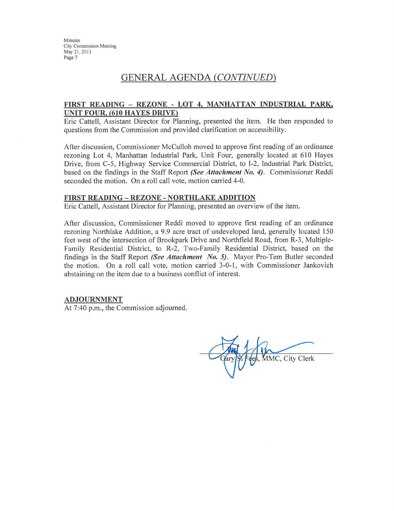## **GENERAL AGENDA (CONTINUED)**

#### FIRST READING - REZONE - LOT 4, MANHATTAN INDUSTRIAL PARK, **UNIT FOUR, (610 HAYES DRIVE)**

Eric Cattell, Assistant Director for Planning, presented the item. He then responded to questions from the Commission and provided clarification on accessibility.

After discussion, Commissioner McCulloh moved to approve first reading of an ordinance rezoning Lot 4, Manhattan Industrial Park, Unit Four, generally located at 610 Hayes Drive, from C-5, Highway Service Commercial District, to I-2, Industrial Park District, based on the findings in the Staff Report (See Attachment No. 4). Commissioner Reddi seconded the motion. On a roll call vote, motion carried 4-0.

#### **FIRST READING - REZONE - NORTHLAKE ADDITION**

Eric Cattell, Assistant Director for Planning, presented an overview of the item.

After discussion, Commissioner Reddi moved to approve first reading of an ordinance rezoning Northlake Addition, a 9.9 acre tract of undeveloped land, generally located 150 feet west of the intersection of Brookpark Drive and Northfield Road, from R-3, Multiple-Family Residential District, to R-2, Two-Family Residential District, based on the findings in the Staff Report (See Attachment No. 5). Mayor Pro-Tem Butler seconded the motion. On a roll call vote, motion carried 3-0-1, with Commissioner Jankovich abstaining on the item due to a business conflict of interest.

#### **ADJOURNMENT**

At 7:40 p.m., the Commission adjourned.

MMC, City Clerk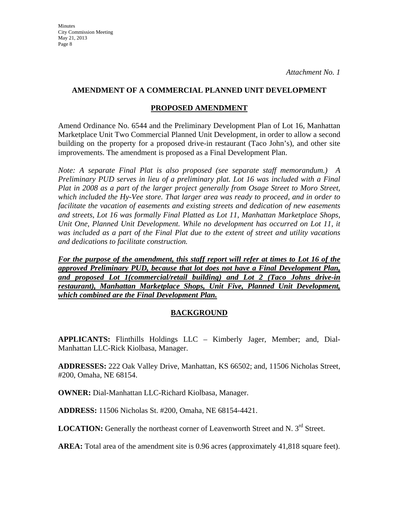## **AMENDMENT OF A COMMERCIAL PLANNED UNIT DEVELOPMENT**

## **PROPOSED AMENDMENT**

Amend Ordinance No. 6544 and the Preliminary Development Plan of Lot 16, Manhattan Marketplace Unit Two Commercial Planned Unit Development, in order to allow a second building on the property for a proposed drive-in restaurant (Taco John's), and other site improvements. The amendment is proposed as a Final Development Plan.

*Note: A separate Final Plat is also proposed (see separate staff memorandum.) A Preliminary PUD serves in lieu of a preliminary plat. Lot 16 was included with a Final Plat in 2008 as a part of the larger project generally from Osage Street to Moro Street, which included the Hy-Vee store. That larger area was ready to proceed, and in order to facilitate the vacation of easements and existing streets and dedication of new easements and streets, Lot 16 was formally Final Platted as Lot 11, Manhattan Marketplace Shops, Unit One, Planned Unit Development. While no development has occurred on Lot 11, it was included as a part of the Final Plat due to the extent of street and utility vacations and dedications to facilitate construction.* 

*For the purpose of the amendment, this staff report will refer at times to Lot 16 of the approved Preliminary PUD, because that lot does not have a Final Development Plan, and proposed Lot 1(commercial/retail building) and Lot 2 (Taco Johns drive-in restaurant), Manhattan Marketplace Shops, Unit Five, Planned Unit Development, which combined are the Final Development Plan.*

## **BACKGROUND**

**APPLICANTS:** Flinthills Holdings LLC – Kimberly Jager, Member; and, Dial-Manhattan LLC-Rick Kiolbasa, Manager.

**ADDRESSES:** 222 Oak Valley Drive, Manhattan, KS 66502; and, 11506 Nicholas Street, #200, Omaha, NE 68154.

**OWNER:** Dial-Manhattan LLC-Richard Kiolbasa, Manager.

**ADDRESS:** 11506 Nicholas St. #200, Omaha, NE 68154-4421.

LOCATION: Generally the northeast corner of Leavenworth Street and N. 3<sup>rd</sup> Street.

**AREA:** Total area of the amendment site is 0.96 acres (approximately 41,818 square feet).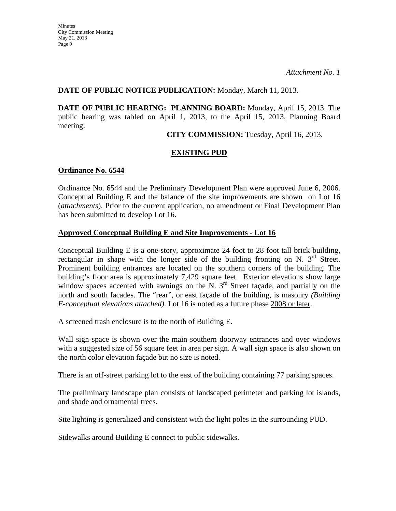## **DATE OF PUBLIC NOTICE PUBLICATION:** Monday, March 11, 2013.

**DATE OF PUBLIC HEARING: PLANNING BOARD:** Monday, April 15, 2013. The public hearing was tabled on April 1, 2013, to the April 15, 2013, Planning Board meeting.

**CITY COMMISSION:** Tuesday, April 16, 2013.

## **EXISTING PUD**

#### **Ordinance No. 6544**

Ordinance No. 6544 and the Preliminary Development Plan were approved June 6, 2006. Conceptual Building E and the balance of the site improvements are shown on Lot 16 (*attachments*). Prior to the current application, no amendment or Final Development Plan has been submitted to develop Lot 16.

#### **Approved Conceptual Building E and Site Improvements - Lot 16**

Conceptual Building E is a one-story, approximate 24 foot to 28 foot tall brick building, rectangular in shape with the longer side of the building fronting on N.  $3<sup>rd</sup>$  Street. Prominent building entrances are located on the southern corners of the building. The building's floor area is approximately 7,429 square feet. Exterior elevations show large window spaces accented with awnings on the N.  $3<sup>rd</sup>$  Street façade, and partially on the north and south facades. The "rear", or east façade of the building, is masonry *(Building E-conceptual elevations attached)*. Lot 16 is noted as a future phase 2008 or later.

A screened trash enclosure is to the north of Building E.

Wall sign space is shown over the main southern doorway entrances and over windows with a suggested size of 56 square feet in area per sign. A wall sign space is also shown on the north color elevation façade but no size is noted.

There is an off-street parking lot to the east of the building containing 77 parking spaces.

The preliminary landscape plan consists of landscaped perimeter and parking lot islands, and shade and ornamental trees.

Site lighting is generalized and consistent with the light poles in the surrounding PUD.

Sidewalks around Building E connect to public sidewalks.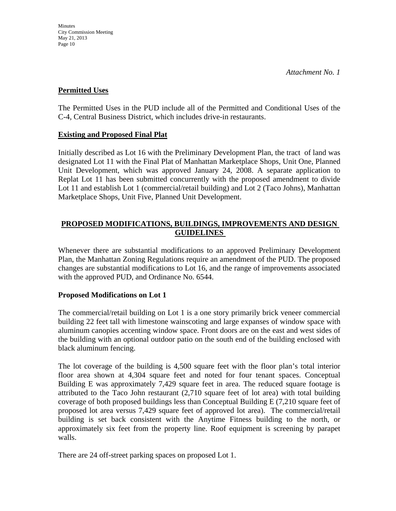## **Permitted Uses**

The Permitted Uses in the PUD include all of the Permitted and Conditional Uses of the C-4, Central Business District, which includes drive-in restaurants.

## **Existing and Proposed Final Plat**

Initially described as Lot 16 with the Preliminary Development Plan, the tract of land was designated Lot 11 with the Final Plat of Manhattan Marketplace Shops, Unit One, Planned Unit Development, which was approved January 24, 2008. A separate application to Replat Lot 11 has been submitted concurrently with the proposed amendment to divide Lot 11 and establish Lot 1 (commercial/retail building) and Lot 2 (Taco Johns), Manhattan Marketplace Shops, Unit Five, Planned Unit Development.

## **PROPOSED MODIFICATIONS, BUILDINGS, IMPROVEMENTS AND DESIGN GUIDELINES**

Whenever there are substantial modifications to an approved Preliminary Development Plan, the Manhattan Zoning Regulations require an amendment of the PUD. The proposed changes are substantial modifications to Lot 16, and the range of improvements associated with the approved PUD, and Ordinance No. 6544.

## **Proposed Modifications on Lot 1**

The commercial/retail building on Lot 1 is a one story primarily brick veneer commercial building 22 feet tall with limestone wainscoting and large expanses of window space with aluminum canopies accenting window space. Front doors are on the east and west sides of the building with an optional outdoor patio on the south end of the building enclosed with black aluminum fencing.

The lot coverage of the building is 4,500 square feet with the floor plan's total interior floor area shown at 4,304 square feet and noted for four tenant spaces. Conceptual Building E was approximately 7,429 square feet in area. The reduced square footage is attributed to the Taco John restaurant (2,710 square feet of lot area) with total building coverage of both proposed buildings less than Conceptual Building E (7,210 square feet of proposed lot area versus 7,429 square feet of approved lot area). The commercial/retail building is set back consistent with the Anytime Fitness building to the north, or approximately six feet from the property line. Roof equipment is screening by parapet walls.

There are 24 off-street parking spaces on proposed Lot 1.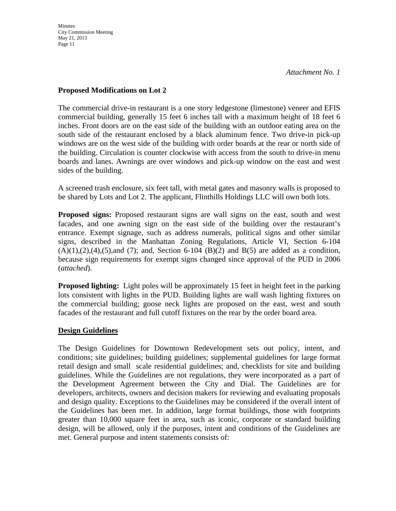#### **Proposed Modifications on Lot 2**

The commercial drive-in restaurant is a one story ledgestone (limestone) veneer and EFIS commercial building, generally 15 feet 6 inches tall with a maximum height of 18 feet 6 inches. Front doors are on the east side of the building with an outdoor eating area on the south side of the restaurant enclosed by a black aluminum fence. Two drive-in pick-up windows are on the west side of the building with order boards at the rear or north side of the building. Circulation is counter clockwise with access from the south to drive-in menu boards and lanes. Awnings are over windows and pick-up window on the east and west sides of the building.

A screened trash enclosure, six feet tall, with metal gates and masonry walls is proposed to be shared by Lots and Lot 2. The applicant, Flinthills Holdings LLC will own both lots.

**Proposed signs:** Proposed restaurant signs are wall signs on the east, south and west facades, and one awning sign on the east side of the building over the restaurant's entrance. Exempt signage, such as address numerals, political signs and other similar signs, described in the Manhattan Zoning Regulations, Article VI, Section 6-104  $(A)(1),(2),(4),(5)$ ,and (7); and, Section 6-104 (B)(2) and B(5) are added as a condition, because sign requirements for exempt signs changed since approval of the PUD in 2006 (*attached*).

**Proposed lighting:** Light poles will be approximately 15 feet in height feet in the parking lots consistent with lights in the PUD. Building lights are wall wash lighting fixtures on the commercial building; goose neck lights are proposed on the east, west and south facades of the restaurant and full cutoff fixtures on the rear by the order board area.

## **Design Guidelines**

The Design Guidelines for Downtown Redevelopment sets out policy, intent, and conditions; site guidelines; building guidelines; supplemental guidelines for large format retail design and small scale residential guidelines; and, checklists for site and building guidelines. While the Guidelines are not regulations, they were incorporated as a part of the Development Agreement between the City and Dial. The Guidelines are for developers, architects, owners and decision makers for reviewing and evaluating proposals and design quality. Exceptions to the Guidelines may be considered if the overall intent of the Guidelines has been met. In addition, large format buildings, those with footprints greater than 10,000 square feet in area, such as iconic, corporate or standard building design, will be allowed, only if the purposes, intent and conditions of the Guidelines are met. General purpose and intent statements consists of: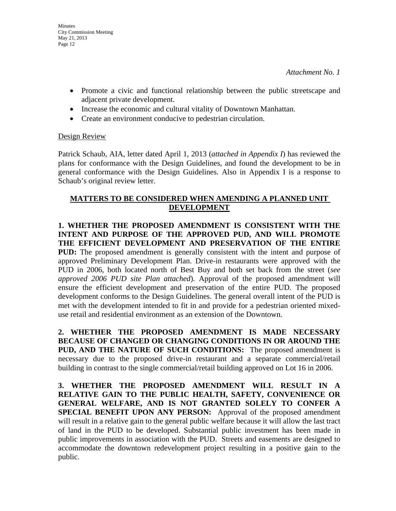- Promote a civic and functional relationship between the public streetscape and adjacent private development.
- Increase the economic and cultural vitality of Downtown Manhattan.
- Create an environment conducive to pedestrian circulation.

#### Design Review

Patrick Schaub, AIA, letter dated April 1, 2013 (*attached in Appendix I*) has reviewed the plans for conformance with the Design Guidelines, and found the development to be in general conformance with the Design Guidelines. Also in Appendix I is a response to Schaub's original review letter.

## **MATTERS TO BE CONSIDERED WHEN AMENDING A PLANNED UNIT DEVELOPMENT**

**1. WHETHER THE PROPOSED AMENDMENT IS CONSISTENT WITH THE INTENT AND PURPOSE OF THE APPROVED PUD, AND WILL PROMOTE THE EFFICIENT DEVELOPMENT AND PRESERVATION OF THE ENTIRE PUD:** The proposed amendment is generally consistent with the intent and purpose of approved Preliminary Development Plan. Drive-in restaurants were approved with the PUD in 2006, both located north of Best Buy and both set back from the street (*see approved 2006 PUD site Plan attached*). Approval of the proposed amendment will ensure the efficient development and preservation of the entire PUD. The proposed development conforms to the Design Guidelines. The general overall intent of the PUD is met with the development intended to fit in and provide for a pedestrian oriented mixeduse retail and residential environment as an extension of the Downtown.

**2. WHETHER THE PROPOSED AMENDMENT IS MADE NECESSARY BECAUSE OF CHANGED OR CHANGING CONDITIONS IN OR AROUND THE PUD, AND THE NATURE OF SUCH CONDITIONS:** The proposed amendment is necessary due to the proposed drive-in restaurant and a separate commercial/retail building in contrast to the single commercial/retail building approved on Lot 16 in 2006.

**3. WHETHER THE PROPOSED AMENDMENT WILL RESULT IN A RELATIVE GAIN TO THE PUBLIC HEALTH, SAFETY, CONVENIENCE OR GENERAL WELFARE, AND IS NOT GRANTED SOLELY TO CONFER A SPECIAL BENEFIT UPON ANY PERSON:** Approval of the proposed amendment will result in a relative gain to the general public welfare because it will allow the last tract of land in the PUD to be developed. Substantial public investment has been made in public improvements in association with the PUD. Streets and easements are designed to accommodate the downtown redevelopment project resulting in a positive gain to the public.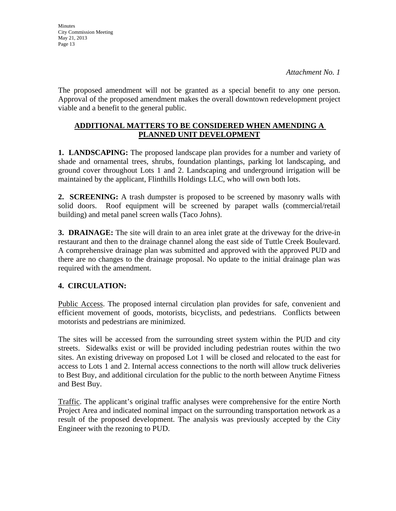**Minutes** City Commission Meeting May 21, 2013 Page 13

The proposed amendment will not be granted as a special benefit to any one person. Approval of the proposed amendment makes the overall downtown redevelopment project viable and a benefit to the general public.

## **ADDITIONAL MATTERS TO BE CONSIDERED WHEN AMENDING A PLANNED UNIT DEVELOPMENT**

**1. LANDSCAPING:** The proposed landscape plan provides for a number and variety of shade and ornamental trees, shrubs, foundation plantings, parking lot landscaping, and ground cover throughout Lots 1 and 2. Landscaping and underground irrigation will be maintained by the applicant, Flinthills Holdings LLC, who will own both lots.

**2. SCREENING:** A trash dumpster is proposed to be screened by masonry walls with solid doors. Roof equipment will be screened by parapet walls (commercial/retail building) and metal panel screen walls (Taco Johns).

**3. DRAINAGE:** The site will drain to an area inlet grate at the driveway for the drive-in restaurant and then to the drainage channel along the east side of Tuttle Creek Boulevard. A comprehensive drainage plan was submitted and approved with the approved PUD and there are no changes to the drainage proposal. No update to the initial drainage plan was required with the amendment.

## **4. CIRCULATION:**

Public Access. The proposed internal circulation plan provides for safe, convenient and efficient movement of goods, motorists, bicyclists, and pedestrians. Conflicts between motorists and pedestrians are minimized.

The sites will be accessed from the surrounding street system within the PUD and city streets. Sidewalks exist or will be provided including pedestrian routes within the two sites. An existing driveway on proposed Lot 1 will be closed and relocated to the east for access to Lots 1 and 2. Internal access connections to the north will allow truck deliveries to Best Buy, and additional circulation for the public to the north between Anytime Fitness and Best Buy.

Traffic. The applicant's original traffic analyses were comprehensive for the entire North Project Area and indicated nominal impact on the surrounding transportation network as a result of the proposed development. The analysis was previously accepted by the City Engineer with the rezoning to PUD.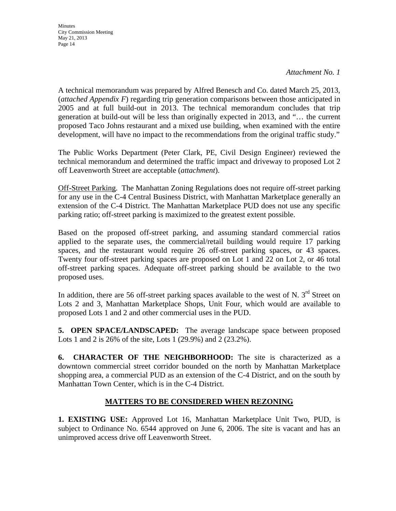*Attachment No. 1* 

A technical memorandum was prepared by Alfred Benesch and Co. dated March 25, 2013, (*attached Appendix F*) regarding trip generation comparisons between those anticipated in 2005 and at full build-out in 2013. The technical memorandum concludes that trip generation at build-out will be less than originally expected in 2013, and "… the current proposed Taco Johns restaurant and a mixed use building, when examined with the entire development, will have no impact to the recommendations from the original traffic study."

The Public Works Department (Peter Clark, PE, Civil Design Engineer) reviewed the technical memorandum and determined the traffic impact and driveway to proposed Lot 2 off Leavenworth Street are acceptable (*attachment*).

Off-Street Parking. The Manhattan Zoning Regulations does not require off-street parking for any use in the C-4 Central Business District, with Manhattan Marketplace generally an extension of the C-4 District. The Manhattan Marketplace PUD does not use any specific parking ratio; off-street parking is maximized to the greatest extent possible.

Based on the proposed off-street parking, and assuming standard commercial ratios applied to the separate uses, the commercial/retail building would require 17 parking spaces, and the restaurant would require 26 off-street parking spaces, or 43 spaces. Twenty four off-street parking spaces are proposed on Lot 1 and 22 on Lot 2, or 46 total off-street parking spaces. Adequate off-street parking should be available to the two proposed uses.

In addition, there are 56 off-street parking spaces available to the west of N.  $3<sup>rd</sup>$  Street on Lots 2 and 3, Manhattan Marketplace Shops, Unit Four, which would are available to proposed Lots 1 and 2 and other commercial uses in the PUD.

**5. OPEN SPACE/LANDSCAPED:** The average landscape space between proposed Lots 1 and 2 is 26% of the site, Lots 1 (29.9%) and 2 (23.2%).

**6. CHARACTER OF THE NEIGHBORHOOD:** The site is characterized as a downtown commercial street corridor bounded on the north by Manhattan Marketplace shopping area, a commercial PUD as an extension of the C-4 District, and on the south by Manhattan Town Center, which is in the C-4 District.

## **MATTERS TO BE CONSIDERED WHEN REZONING**

**1. EXISTING USE:** Approved Lot 16, Manhattan Marketplace Unit Two, PUD, is subject to Ordinance No. 6544 approved on June 6, 2006. The site is vacant and has an unimproved access drive off Leavenworth Street.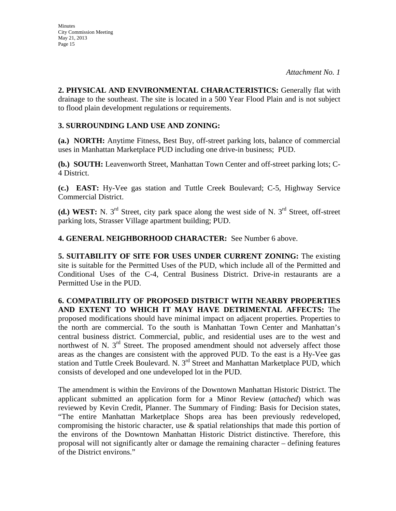**2. PHYSICAL AND ENVIRONMENTAL CHARACTERISTICS:** Generally flat with drainage to the southeast. The site is located in a 500 Year Flood Plain and is not subject to flood plain development regulations or requirements.

## **3. SURROUNDING LAND USE AND ZONING:**

**(a.) NORTH:** Anytime Fitness, Best Buy, off-street parking lots, balance of commercial uses in Manhattan Marketplace PUD including one drive-in business; PUD.

**(b.) SOUTH:** Leavenworth Street, Manhattan Town Center and off-street parking lots; C-4 District.

**(c.) EAST:** Hy-Vee gas station and Tuttle Creek Boulevard; C-5, Highway Service Commercial District.

(d.) WEST: N. 3<sup>rd</sup> Street, city park space along the west side of N. 3<sup>rd</sup> Street, off-street parking lots, Strasser Village apartment building; PUD.

**4. GENERAL NEIGHBORHOOD CHARACTER:** See Number 6 above.

**5. SUITABILITY OF SITE FOR USES UNDER CURRENT ZONING:** The existing site is suitable for the Permitted Uses of the PUD, which include all of the Permitted and Conditional Uses of the C-4, Central Business District. Drive-in restaurants are a Permitted Use in the PUD.

**6. COMPATIBILITY OF PROPOSED DISTRICT WITH NEARBY PROPERTIES AND EXTENT TO WHICH IT MAY HAVE DETRIMENTAL AFFECTS:** The proposed modifications should have minimal impact on adjacent properties. Properties to the north are commercial. To the south is Manhattan Town Center and Manhattan's central business district. Commercial, public, and residential uses are to the west and northwest of N.  $3<sup>rd</sup>$  Street. The proposed amendment should not adversely affect those areas as the changes are consistent with the approved PUD. To the east is a Hy-Vee gas station and Tuttle Creek Boulevard. N. 3<sup>rd</sup> Street and Manhattan Marketplace PUD, which consists of developed and one undeveloped lot in the PUD.

The amendment is within the Environs of the Downtown Manhattan Historic District. The applicant submitted an application form for a Minor Review (*attached*) which was reviewed by Kevin Credit, Planner. The Summary of Finding: Basis for Decision states, "The entire Manhattan Marketplace Shops area has been previously redeveloped, compromising the historic character, use & spatial relationships that made this portion of the environs of the Downtown Manhattan Historic District distinctive. Therefore, this proposal will not significantly alter or damage the remaining character – defining features of the District environs."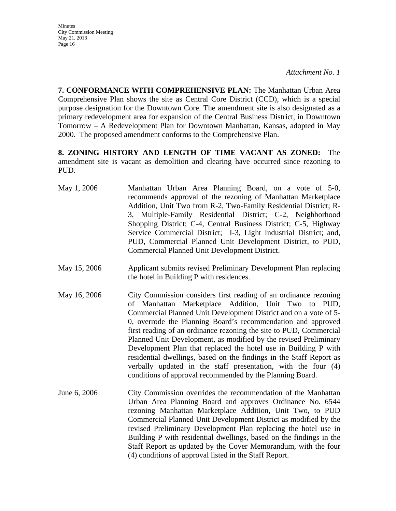*Attachment No. 1* 

**7. CONFORMANCE WITH COMPREHENSIVE PLAN:** The Manhattan Urban Area Comprehensive Plan shows the site as Central Core District (CCD), which is a special purpose designation for the Downtown Core. The amendment site is also designated as a primary redevelopment area for expansion of the Central Business District, in Downtown Tomorrow – A Redevelopment Plan for Downtown Manhattan, Kansas, adopted in May 2000. The proposed amendment conforms to the Comprehensive Plan.

**8. ZONING HISTORY AND LENGTH OF TIME VACANT AS ZONED:** The amendment site is vacant as demolition and clearing have occurred since rezoning to PUD.

- May 1, 2006 Manhattan Urban Area Planning Board, on a vote of 5-0, recommends approval of the rezoning of Manhattan Marketplace Addition, Unit Two from R-2, Two-Family Residential District; R-3, Multiple-Family Residential District; C-2, Neighborhood Shopping District; C-4, Central Business District; C-5, Highway Service Commercial District; I-3, Light Industrial District; and, PUD, Commercial Planned Unit Development District, to PUD, Commercial Planned Unit Development District.
- May 15, 2006 Applicant submits revised Preliminary Development Plan replacing the hotel in Building P with residences.
- May 16, 2006 City Commission considers first reading of an ordinance rezoning of Manhattan Marketplace Addition, Unit Two to PUD, Commercial Planned Unit Development District and on a vote of 5- 0, overrode the Planning Board's recommendation and approved first reading of an ordinance rezoning the site to PUD, Commercial Planned Unit Development, as modified by the revised Preliminary Development Plan that replaced the hotel use in Building P with residential dwellings, based on the findings in the Staff Report as verbally updated in the staff presentation, with the four (4) conditions of approval recommended by the Planning Board.
- June 6, 2006 City Commission overrides the recommendation of the Manhattan Urban Area Planning Board and approves Ordinance No. 6544 rezoning Manhattan Marketplace Addition, Unit Two, to PUD Commercial Planned Unit Development District as modified by the revised Preliminary Development Plan replacing the hotel use in Building P with residential dwellings, based on the findings in the Staff Report as updated by the Cover Memorandum, with the four (4) conditions of approval listed in the Staff Report.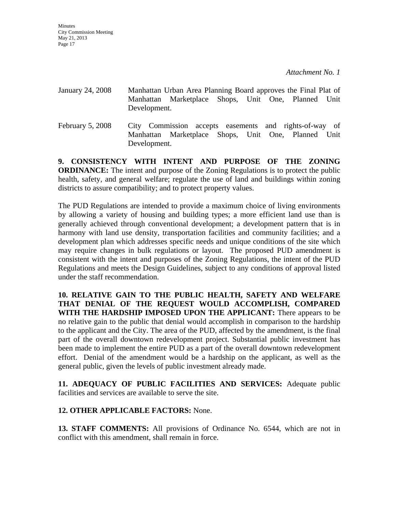- January 24, 2008 Manhattan Urban Area Planning Board approves the Final Plat of Manhattan Marketplace Shops, Unit One, Planned Unit Development. February 5, 2008 City Commission accepts easements and rights-of-way of
- Manhattan Marketplace Shops, Unit One, Planned Unit Development.

**9. CONSISTENCY WITH INTENT AND PURPOSE OF THE ZONING ORDINANCE:** The intent and purpose of the Zoning Regulations is to protect the public health, safety, and general welfare; regulate the use of land and buildings within zoning districts to assure compatibility; and to protect property values.

The PUD Regulations are intended to provide a maximum choice of living environments by allowing a variety of housing and building types; a more efficient land use than is generally achieved through conventional development; a development pattern that is in harmony with land use density, transportation facilities and community facilities; and a development plan which addresses specific needs and unique conditions of the site which may require changes in bulk regulations or layout. The proposed PUD amendment is consistent with the intent and purposes of the Zoning Regulations, the intent of the PUD Regulations and meets the Design Guidelines, subject to any conditions of approval listed under the staff recommendation.

**10. RELATIVE GAIN TO THE PUBLIC HEALTH, SAFETY AND WELFARE THAT DENIAL OF THE REQUEST WOULD ACCOMPLISH, COMPARED WITH THE HARDSHIP IMPOSED UPON THE APPLICANT:** There appears to be no relative gain to the public that denial would accomplish in comparison to the hardship to the applicant and the City. The area of the PUD, affected by the amendment, is the final part of the overall downtown redevelopment project. Substantial public investment has been made to implement the entire PUD as a part of the overall downtown redevelopment effort. Denial of the amendment would be a hardship on the applicant, as well as the general public, given the levels of public investment already made.

**11. ADEQUACY OF PUBLIC FACILITIES AND SERVICES:** Adequate public facilities and services are available to serve the site.

## **12. OTHER APPLICABLE FACTORS:** None.

**13. STAFF COMMENTS:** All provisions of Ordinance No. 6544, which are not in conflict with this amendment, shall remain in force.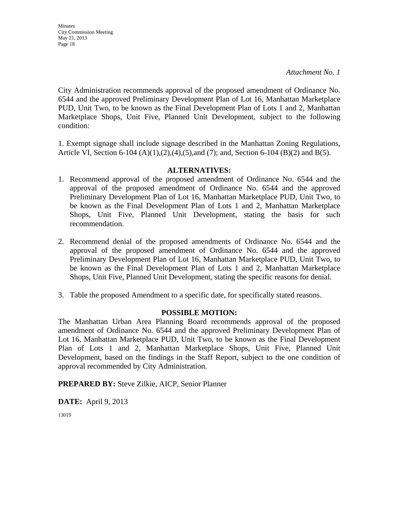City Administration recommends approval of the proposed amendment of Ordinance No. 6544 and the approved Preliminary Development Plan of Lot 16, Manhattan Marketplace PUD, Unit Two, to be known as the Final Development Plan of Lots 1 and 2, Manhattan Marketplace Shops, Unit Five, Planned Unit Development, subject to the following condition:

1. Exempt signage shall include signage described in the Manhattan Zoning Regulations, Article VI, Section 6-104 (A)(1),(2),(4),(5),and (7); and, Section 6-104 (B)(2) and B(5).

#### **ALTERNATIVES:**

- 1. Recommend approval of the proposed amendment of Ordinance No. 6544 and the approval of the proposed amendment of Ordinance No. 6544 and the approved Preliminary Development Plan of Lot 16, Manhattan Marketplace PUD, Unit Two, to be known as the Final Development Plan of Lots 1 and 2, Manhattan Marketplace Shops, Unit Five, Planned Unit Development, stating the basis for such recommendation.
- 2. Recommend denial of the proposed amendments of Ordinance No. 6544 and the approval of the proposed amendment of Ordinance No. 6544 and the approved Preliminary Development Plan of Lot 16, Manhattan Marketplace PUD, Unit Two, to be known as the Final Development Plan of Lots 1 and 2, Manhattan Marketplace Shops, Unit Five, Planned Unit Development, stating the specific reasons for denial.
- 3. Table the proposed Amendment to a specific date, for specifically stated reasons.

#### **POSSIBLE MOTION:**

The Manhattan Urban Area Planning Board recommends approval of the proposed amendment of Ordinance No. 6544 and the approved Preliminary Development Plan of Lot 16, Manhattan Marketplace PUD, Unit Two, to be known as the Final Development Plan of Lots 1 and 2, Manhattan Marketplace Shops, Unit Five, Planned Unit Development, based on the findings in the Staff Report, subject to the one condition of approval recommended by City Administration.

**PREPARED BY:** Steve Zilkie, AICP, Senior Planner

**DATE:** April 9, 2013

13019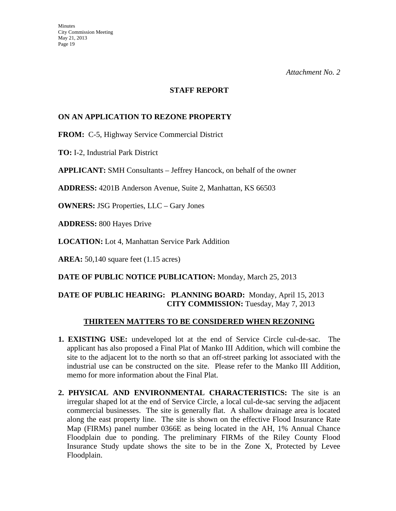#### **STAFF REPORT**

## **ON AN APPLICATION TO REZONE PROPERTY**

**FROM:** C-5, Highway Service Commercial District

**TO:** I-2, Industrial Park District

**APPLICANT:** SMH Consultants – Jeffrey Hancock, on behalf of the owner

**ADDRESS:** 4201B Anderson Avenue, Suite 2, Manhattan, KS 66503

**OWNERS:** JSG Properties, LLC – Gary Jones

**ADDRESS:** 800 Hayes Drive

**LOCATION:** Lot 4, Manhattan Service Park Addition

**AREA:** 50,140 square feet (1.15 acres)

**DATE OF PUBLIC NOTICE PUBLICATION:** Monday, March 25, 2013

## **DATE OF PUBLIC HEARING: PLANNING BOARD:** Monday, April 15, 2013 **CITY COMMISSION:** Tuesday, May 7, 2013

#### **THIRTEEN MATTERS TO BE CONSIDERED WHEN REZONING**

- **1. EXISTING USE:** undeveloped lot at the end of Service Circle cul-de-sac. The applicant has also proposed a Final Plat of Manko III Addition, which will combine the site to the adjacent lot to the north so that an off-street parking lot associated with the industrial use can be constructed on the site. Please refer to the Manko III Addition, memo for more information about the Final Plat.
- **2. PHYSICAL AND ENVIRONMENTAL CHARACTERISTICS:** The site is an irregular shaped lot at the end of Service Circle, a local cul-de-sac serving the adjacent commercial businesses. The site is generally flat. A shallow drainage area is located along the east property line. The site is shown on the effective Flood Insurance Rate Map (FIRMs) panel number 0366E as being located in the AH, 1% Annual Chance Floodplain due to ponding. The preliminary FIRMs of the Riley County Flood Insurance Study update shows the site to be in the Zone X, Protected by Levee Floodplain.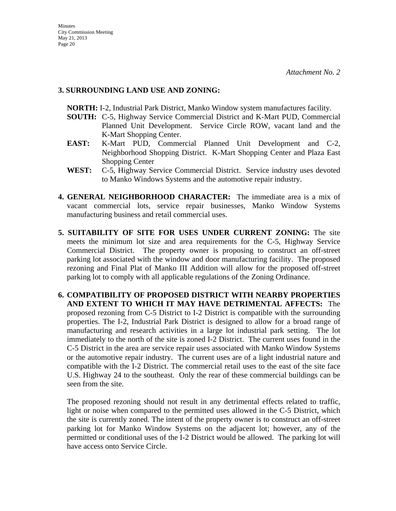## **3. SURROUNDING LAND USE AND ZONING:**

 **NORTH:** I-2, Industrial Park District, Manko Window system manufactures facility.

- **SOUTH:** C-5, Highway Service Commercial District and K-Mart PUD, Commercial Planned Unit Development. Service Circle ROW, vacant land and the K-Mart Shopping Center.
- **EAST:** K-Mart PUD, Commercial Planned Unit Development and C-2, Neighborhood Shopping District. K-Mart Shopping Center and Plaza East Shopping Center
- **WEST:** C-5, Highway Service Commercial District. Service industry uses devoted to Manko Windows Systems and the automotive repair industry.
- **4. GENERAL NEIGHBORHOOD CHARACTER:** The immediate area is a mix of vacant commercial lots, service repair businesses, Manko Window Systems manufacturing business and retail commercial uses.
- **5. SUITABILITY OF SITE FOR USES UNDER CURRENT ZONING:** The site meets the minimum lot size and area requirements for the C-5, Highway Service Commercial District. The property owner is proposing to construct an off-street parking lot associated with the window and door manufacturing facility. The proposed rezoning and Final Plat of Manko III Addition will allow for the proposed off-street parking lot to comply with all applicable regulations of the Zoning Ordinance.
- **6. COMPATIBILITY OF PROPOSED DISTRICT WITH NEARBY PROPERTIES AND EXTENT TO WHICH IT MAY HAVE DETRIMENTAL AFFECTS:** The proposed rezoning from C-5 District to I-2 District is compatible with the surrounding properties. The I-2, Industrial Park District is designed to allow for a broad range of manufacturing and research activities in a large lot industrial park setting. The lot immediately to the north of the site is zoned I-2 District. The current uses found in the C-5 District in the area are service repair uses associated with Manko Window Systems or the automotive repair industry. The current uses are of a light industrial nature and compatible with the I-2 District. The commercial retail uses to the east of the site face U.S. Highway 24 to the southeast. Only the rear of these commercial buildings can be seen from the site.

 The proposed rezoning should not result in any detrimental effects related to traffic, light or noise when compared to the permitted uses allowed in the C-5 District, which the site is currently zoned. The intent of the property owner is to construct an off-street parking lot for Manko Window Systems on the adjacent lot; however, any of the permitted or conditional uses of the I-2 District would be allowed. The parking lot will have access onto Service Circle.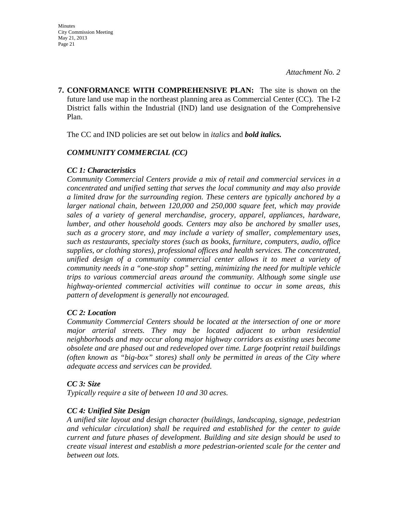**7. CONFORMANCE WITH COMPREHENSIVE PLAN:** The site is shown on the future land use map in the northeast planning area as Commercial Center (CC). The I-2 District falls within the Industrial (IND) land use designation of the Comprehensive Plan.

The CC and IND policies are set out below in *italics* and *bold italics.*

## *COMMUNITY COMMERCIAL (CC)*

## *CC 1: Characteristics*

*Community Commercial Centers provide a mix of retail and commercial services in a concentrated and unified setting that serves the local community and may also provide a limited draw for the surrounding region. These centers are typically anchored by a larger national chain, between 120,000 and 250,000 square feet, which may provide sales of a variety of general merchandise, grocery, apparel, appliances, hardware, lumber, and other household goods. Centers may also be anchored by smaller uses, such as a grocery store, and may include a variety of smaller, complementary uses, such as restaurants, specialty stores (such as books, furniture, computers, audio, office supplies, or clothing stores), professional offices and health services. The concentrated, unified design of a community commercial center allows it to meet a variety of community needs in a "one-stop shop" setting, minimizing the need for multiple vehicle trips to various commercial areas around the community. Although some single use highway-oriented commercial activities will continue to occur in some areas, this pattern of development is generally not encouraged.* 

## *CC 2: Location*

*Community Commercial Centers should be located at the intersection of one or more major arterial streets. They may be located adjacent to urban residential neighborhoods and may occur along major highway corridors as existing uses become obsolete and are phased out and redeveloped over time. Large footprint retail buildings (often known as "big-box" stores) shall only be permitted in areas of the City where adequate access and services can be provided.* 

## *CC 3: Size*

*Typically require a site of between 10 and 30 acres.* 

## *CC 4: Unified Site Design*

*A unified site layout and design character (buildings, landscaping, signage, pedestrian and vehicular circulation) shall be required and established for the center to guide current and future phases of development. Building and site design should be used to create visual interest and establish a more pedestrian-oriented scale for the center and between out lots.*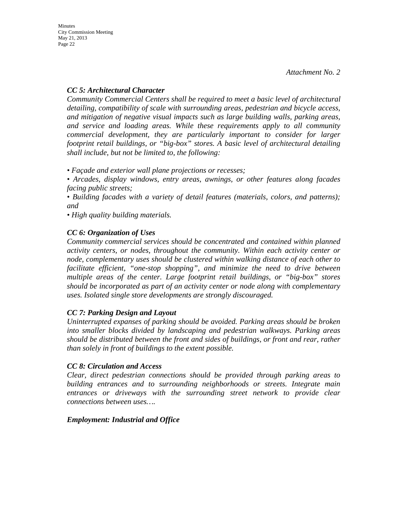## *CC 5: Architectural Character*

*Community Commercial Centers shall be required to meet a basic level of architectural detailing, compatibility of scale with surrounding areas, pedestrian and bicycle access, and mitigation of negative visual impacts such as large building walls, parking areas, and service and loading areas. While these requirements apply to all community commercial development, they are particularly important to consider for larger footprint retail buildings, or "big-box" stores. A basic level of architectural detailing shall include, but not be limited to, the following:* 

*• Façade and exterior wall plane projections or recesses;* 

*• Arcades, display windows, entry areas, awnings, or other features along facades facing public streets;* 

*• Building facades with a variety of detail features (materials, colors, and patterns); and* 

*• High quality building materials.* 

## *CC 6: Organization of Uses*

*Community commercial services should be concentrated and contained within planned activity centers, or nodes, throughout the community. Within each activity center or node, complementary uses should be clustered within walking distance of each other to facilitate efficient, "one-stop shopping", and minimize the need to drive between multiple areas of the center. Large footprint retail buildings, or "big-box" stores should be incorporated as part of an activity center or node along with complementary uses. Isolated single store developments are strongly discouraged.* 

## *CC 7: Parking Design and Layout*

*Uninterrupted expanses of parking should be avoided. Parking areas should be broken into smaller blocks divided by landscaping and pedestrian walkways. Parking areas should be distributed between the front and sides of buildings, or front and rear, rather than solely in front of buildings to the extent possible.* 

## *CC 8: Circulation and Access*

*Clear, direct pedestrian connections should be provided through parking areas to building entrances and to surrounding neighborhoods or streets. Integrate main entrances or driveways with the surrounding street network to provide clear connections between uses….* 

## *Employment: Industrial and Office*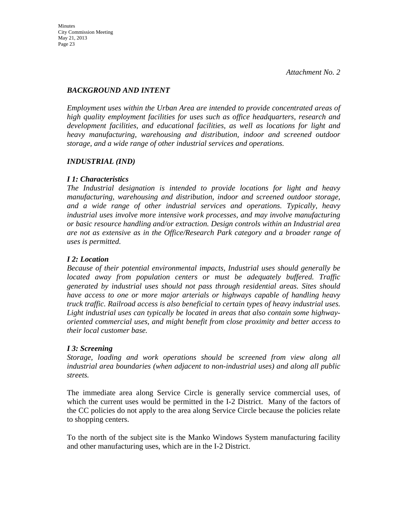## *BACKGROUND AND INTENT*

*Employment uses within the Urban Area are intended to provide concentrated areas of high quality employment facilities for uses such as office headquarters, research and development facilities, and educational facilities, as well as locations for light and heavy manufacturing, warehousing and distribution, indoor and screened outdoor storage, and a wide range of other industrial services and operations.* 

## *INDUSTRIAL (IND)*

## *I 1: Characteristics*

*The Industrial designation is intended to provide locations for light and heavy manufacturing, warehousing and distribution, indoor and screened outdoor storage, and a wide range of other industrial services and operations. Typically, heavy industrial uses involve more intensive work processes, and may involve manufacturing or basic resource handling and/or extraction. Design controls within an Industrial area are not as extensive as in the Office/Research Park category and a broader range of uses is permitted.* 

## *I 2: Location*

*Because of their potential environmental impacts, Industrial uses should generally be located away from population centers or must be adequately buffered. Traffic generated by industrial uses should not pass through residential areas. Sites should have access to one or more major arterials or highways capable of handling heavy truck traffic. Railroad access is also beneficial to certain types of heavy industrial uses. Light industrial uses can typically be located in areas that also contain some highwayoriented commercial uses, and might benefit from close proximity and better access to their local customer base.* 

## *I 3: Screening*

*Storage, loading and work operations should be screened from view along all industrial area boundaries (when adjacent to non-industrial uses) and along all public streets.* 

The immediate area along Service Circle is generally service commercial uses, of which the current uses would be permitted in the I-2 District. Many of the factors of the CC policies do not apply to the area along Service Circle because the policies relate to shopping centers.

To the north of the subject site is the Manko Windows System manufacturing facility and other manufacturing uses, which are in the I-2 District.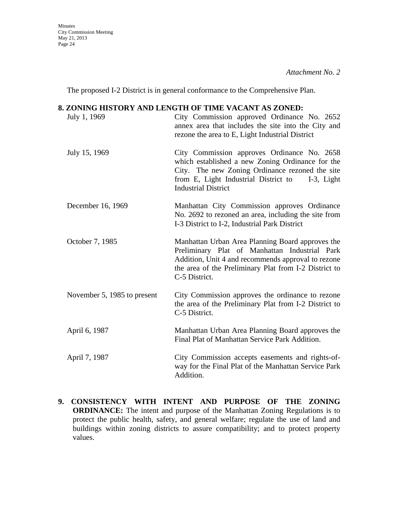The proposed I-2 District is in general conformance to the Comprehensive Plan.

#### **8. ZONING HISTORY AND LENGTH OF TIME VACANT AS ZONED:**

| July 1, 1969                | City Commission approved Ordinance No. 2652<br>annex area that includes the site into the City and<br>rezone the area to E, Light Industrial District                                                                                  |
|-----------------------------|----------------------------------------------------------------------------------------------------------------------------------------------------------------------------------------------------------------------------------------|
| July 15, 1969               | City Commission approves Ordinance No. 2658<br>which established a new Zoning Ordinance for the<br>City. The new Zoning Ordinance rezoned the site<br>from E, Light Industrial District to<br>I-3, Light<br><b>Industrial District</b> |
| December 16, 1969           | Manhattan City Commission approves Ordinance<br>No. 2692 to rezoned an area, including the site from<br>I-3 District to I-2, Industrial Park District                                                                                  |
| October 7, 1985             | Manhattan Urban Area Planning Board approves the<br>Preliminary Plat of Manhattan Industrial Park<br>Addition, Unit 4 and recommends approval to rezone<br>the area of the Preliminary Plat from I-2 District to<br>C-5 District.      |
| November 5, 1985 to present | City Commission approves the ordinance to rezone<br>the area of the Preliminary Plat from I-2 District to<br>C-5 District.                                                                                                             |
| April 6, 1987               | Manhattan Urban Area Planning Board approves the<br>Final Plat of Manhattan Service Park Addition.                                                                                                                                     |
| April 7, 1987               | City Commission accepts easements and rights-of-<br>way for the Final Plat of the Manhattan Service Park<br>Addition.                                                                                                                  |

**9. CONSISTENCY WITH INTENT AND PURPOSE OF THE ZONING ORDINANCE:** The intent and purpose of the Manhattan Zoning Regulations is to protect the public health, safety, and general welfare; regulate the use of land and buildings within zoning districts to assure compatibility; and to protect property values.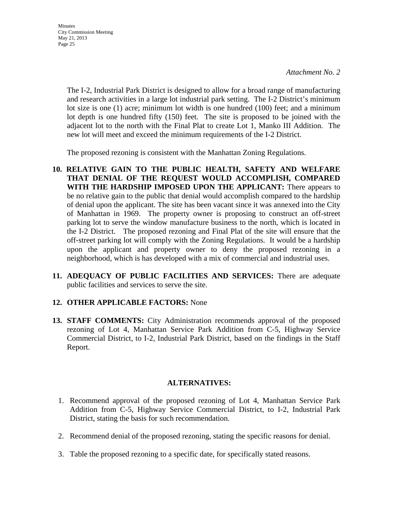**Minutes** City Commission Meeting May 21, 2013 Page 25

> The I-2, Industrial Park District is designed to allow for a broad range of manufacturing and research activities in a large lot industrial park setting. The I-2 District's minimum lot size is one (1) acre; minimum lot width is one hundred (100) feet; and a minimum lot depth is one hundred fifty (150) feet. The site is proposed to be joined with the adjacent lot to the north with the Final Plat to create Lot 1, Manko III Addition. The new lot will meet and exceed the minimum requirements of the I-2 District.

The proposed rezoning is consistent with the Manhattan Zoning Regulations.

- **10. RELATIVE GAIN TO THE PUBLIC HEALTH, SAFETY AND WELFARE THAT DENIAL OF THE REQUEST WOULD ACCOMPLISH, COMPARED WITH THE HARDSHIP IMPOSED UPON THE APPLICANT:** There appears to be no relative gain to the public that denial would accomplish compared to the hardship of denial upon the applicant. The site has been vacant since it was annexed into the City of Manhattan in 1969. The property owner is proposing to construct an off-street parking lot to serve the window manufacture business to the north, which is located in the I-2 District. The proposed rezoning and Final Plat of the site will ensure that the off-street parking lot will comply with the Zoning Regulations. It would be a hardship upon the applicant and property owner to deny the proposed rezoning in a neighborhood, which is has developed with a mix of commercial and industrial uses.
- **11. ADEQUACY OF PUBLIC FACILITIES AND SERVICES:** There are adequate public facilities and services to serve the site.

#### **12. OTHER APPLICABLE FACTORS:** None

**13. STAFF COMMENTS:** City Administration recommends approval of the proposed rezoning of Lot 4, Manhattan Service Park Addition from C-5, Highway Service Commercial District, to I-2, Industrial Park District, based on the findings in the Staff Report.

#### **ALTERNATIVES:**

- 1. Recommend approval of the proposed rezoning of Lot 4, Manhattan Service Park Addition from C-5, Highway Service Commercial District, to I-2, Industrial Park District, stating the basis for such recommendation.
- 2. Recommend denial of the proposed rezoning, stating the specific reasons for denial.
- 3. Table the proposed rezoning to a specific date, for specifically stated reasons.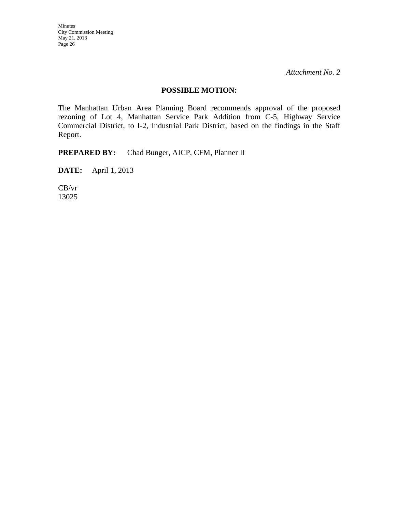## **POSSIBLE MOTION:**

The Manhattan Urban Area Planning Board recommends approval of the proposed rezoning of Lot 4, Manhattan Service Park Addition from C-5, Highway Service Commercial District, to I-2, Industrial Park District, based on the findings in the Staff Report.

**PREPARED BY:** Chad Bunger, AICP, CFM, Planner II

**DATE:** April 1, 2013

CB/vr 13025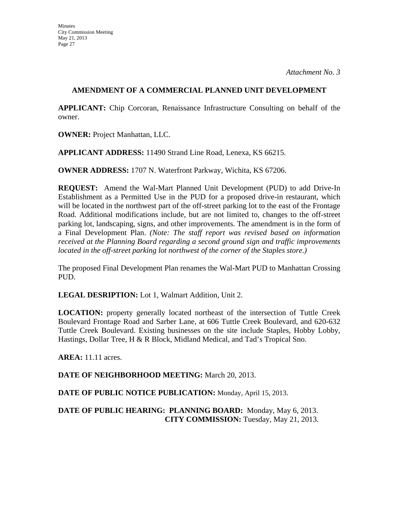## **AMENDMENT OF A COMMERCIAL PLANNED UNIT DEVELOPMENT**

**APPLICANT:** Chip Corcoran, Renaissance Infrastructure Consulting on behalf of the owner.

**OWNER:** Project Manhattan, LLC.

**APPLICANT ADDRESS:** 11490 Strand Line Road, Lenexa, KS 66215.

**OWNER ADDRESS:** 1707 N. Waterfront Parkway, Wichita, KS 67206.

**REQUEST:** Amend the Wal-Mart Planned Unit Development (PUD) to add Drive-In Establishment as a Permitted Use in the PUD for a proposed drive-in restaurant, which will be located in the northwest part of the off-street parking lot to the east of the Frontage Road. Additional modifications include, but are not limited to, changes to the off-street parking lot, landscaping, signs, and other improvements. The amendment is in the form of a Final Development Plan. *(Note: The staff report was revised based on information received at the Planning Board regarding a second ground sign and traffic improvements located in the off-street parking lot northwest of the corner of the Staples store.)*

The proposed Final Development Plan renames the Wal-Mart PUD to Manhattan Crossing PUD.

**LEGAL DESRIPTION:** Lot 1, Walmart Addition, Unit 2.

**LOCATION:** property generally located northeast of the intersection of Tuttle Creek Boulevard Frontage Road and Sarber Lane, at 606 Tuttle Creek Boulevard, and 620-632 Tuttle Creek Boulevard. Existing businesses on the site include Staples, Hobby Lobby, Hastings, Dollar Tree, H & R Block, Midland Medical, and Tad's Tropical Sno.

**AREA:** 11.11 acres.

**DATE OF NEIGHBORHOOD MEETING:** March 20, 2013.

**DATE OF PUBLIC NOTICE PUBLICATION:** Monday, April 15, 2013.

**DATE OF PUBLIC HEARING: PLANNING BOARD:** Monday, May 6, 2013. **CITY COMMISSION:** Tuesday, May 21, 2013.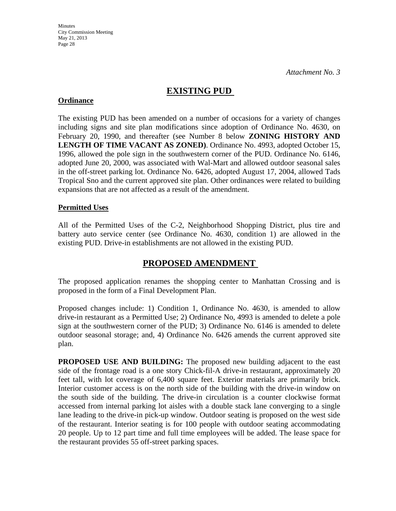## **EXISTING PUD**

## **Ordinance**

The existing PUD has been amended on a number of occasions for a variety of changes including signs and site plan modifications since adoption of Ordinance No. 4630, on February 20, 1990, and thereafter (see Number 8 below **ZONING HISTORY AND LENGTH OF TIME VACANT AS ZONED)**. Ordinance No. 4993, adopted October 15, 1996, allowed the pole sign in the southwestern corner of the PUD. Ordinance No. 6146, adopted June 20, 2000, was associated with Wal-Mart and allowed outdoor seasonal sales in the off-street parking lot. Ordinance No. 6426, adopted August 17, 2004, allowed Tads Tropical Sno and the current approved site plan. Other ordinances were related to building expansions that are not affected as a result of the amendment.

## **Permitted Uses**

All of the Permitted Uses of the C-2, Neighborhood Shopping District, plus tire and battery auto service center (see Ordinance No. 4630, condition 1) are allowed in the existing PUD. Drive-in establishments are not allowed in the existing PUD.

## **PROPOSED AMENDMENT**

The proposed application renames the shopping center to Manhattan Crossing and is proposed in the form of a Final Development Plan.

Proposed changes include: 1) Condition 1, Ordinance No. 4630, is amended to allow drive-in restaurant as a Permitted Use; 2) Ordinance No, 4993 is amended to delete a pole sign at the southwestern corner of the PUD; 3) Ordinance No. 6146 is amended to delete outdoor seasonal storage; and, 4) Ordinance No. 6426 amends the current approved site plan.

**PROPOSED USE AND BUILDING:** The proposed new building adjacent to the east side of the frontage road is a one story Chick-fil-A drive-in restaurant, approximately 20 feet tall, with lot coverage of 6,400 square feet. Exterior materials are primarily brick. Interior customer access is on the north side of the building with the drive-in window on the south side of the building. The drive-in circulation is a counter clockwise format accessed from internal parking lot aisles with a double stack lane converging to a single lane leading to the drive-in pick-up window. Outdoor seating is proposed on the west side of the restaurant. Interior seating is for 100 people with outdoor seating accommodating 20 people. Up to 12 part time and full time employees will be added. The lease space for the restaurant provides 55 off-street parking spaces.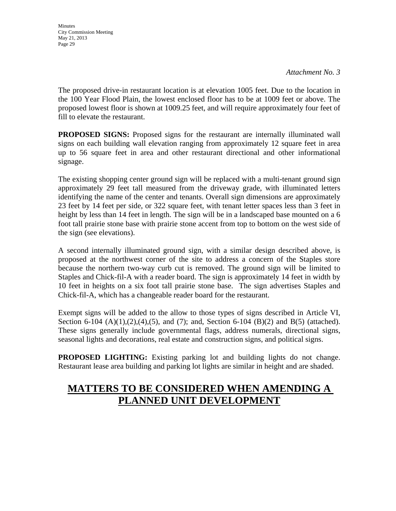The proposed drive-in restaurant location is at elevation 1005 feet. Due to the location in the 100 Year Flood Plain, the lowest enclosed floor has to be at 1009 feet or above. The proposed lowest floor is shown at 1009.25 feet, and will require approximately four feet of fill to elevate the restaurant.

**PROPOSED SIGNS:** Proposed signs for the restaurant are internally illuminated wall signs on each building wall elevation ranging from approximately 12 square feet in area up to 56 square feet in area and other restaurant directional and other informational signage.

The existing shopping center ground sign will be replaced with a multi-tenant ground sign approximately 29 feet tall measured from the driveway grade, with illuminated letters identifying the name of the center and tenants. Overall sign dimensions are approximately 23 feet by 14 feet per side, or 322 square feet, with tenant letter spaces less than 3 feet in height by less than 14 feet in length. The sign will be in a landscaped base mounted on a 6 foot tall prairie stone base with prairie stone accent from top to bottom on the west side of the sign (see elevations).

A second internally illuminated ground sign, with a similar design described above, is proposed at the northwest corner of the site to address a concern of the Staples store because the northern two-way curb cut is removed. The ground sign will be limited to Staples and Chick-fil-A with a reader board. The sign is approximately 14 feet in width by 10 feet in heights on a six foot tall prairie stone base. The sign advertises Staples and Chick-fil-A, which has a changeable reader board for the restaurant.

Exempt signs will be added to the allow to those types of signs described in Article VI, Section 6-104 (A)(1),(2),(4),(5), and (7); and, Section 6-104 (B)(2) and B(5) (attached). These signs generally include governmental flags, address numerals, directional signs, seasonal lights and decorations, real estate and construction signs, and political signs.

**PROPOSED LIGHTING:** Existing parking lot and building lights do not change. Restaurant lease area building and parking lot lights are similar in height and are shaded.

# **MATTERS TO BE CONSIDERED WHEN AMENDING A PLANNED UNIT DEVELOPMENT**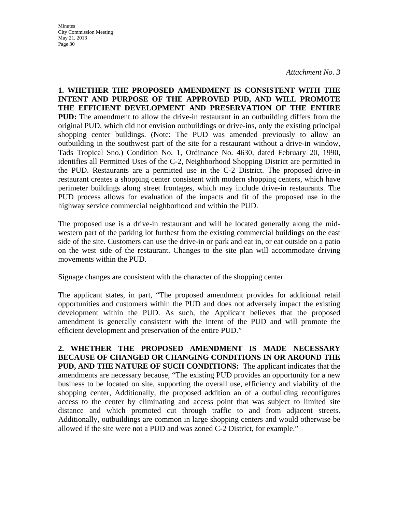*Attachment No. 3* 

**1. WHETHER THE PROPOSED AMENDMENT IS CONSISTENT WITH THE INTENT AND PURPOSE OF THE APPROVED PUD, AND WILL PROMOTE THE EFFICIENT DEVELOPMENT AND PRESERVATION OF THE ENTIRE PUD:** The amendment to allow the drive-in restaurant in an outbuilding differs from the original PUD, which did not envision outbuildings or drive-ins, only the existing principal shopping center buildings. (Note: The PUD was amended previously to allow an outbuilding in the southwest part of the site for a restaurant without a drive-in window, Tads Tropical Sno.) Condition No. 1, Ordinance No. 4630, dated February 20, 1990, identifies all Permitted Uses of the C-2, Neighborhood Shopping District are permitted in the PUD. Restaurants are a permitted use in the C-2 District. The proposed drive-in restaurant creates a shopping center consistent with modern shopping centers, which have perimeter buildings along street frontages, which may include drive-in restaurants. The PUD process allows for evaluation of the impacts and fit of the proposed use in the highway service commercial neighborhood and within the PUD.

The proposed use is a drive-in restaurant and will be located generally along the midwestern part of the parking lot furthest from the existing commercial buildings on the east side of the site. Customers can use the drive-in or park and eat in, or eat outside on a patio on the west side of the restaurant. Changes to the site plan will accommodate driving movements within the PUD.

Signage changes are consistent with the character of the shopping center.

The applicant states, in part, "The proposed amendment provides for additional retail opportunities and customers within the PUD and does not adversely impact the existing development within the PUD. As such, the Applicant believes that the proposed amendment is generally consistent with the intent of the PUD and will promote the efficient development and preservation of the entire PUD."

**2. WHETHER THE PROPOSED AMENDMENT IS MADE NECESSARY BECAUSE OF CHANGED OR CHANGING CONDITIONS IN OR AROUND THE PUD, AND THE NATURE OF SUCH CONDITIONS:** The applicant indicates that the amendments are necessary because, "The existing PUD provides an opportunity for a new business to be located on site, supporting the overall use, efficiency and viability of the shopping center, Additionally, the proposed addition an of a outbuilding reconfigures access to the center by eliminating and access point that was subject to limited site distance and which promoted cut through traffic to and from adjacent streets. Additionally, outbuildings are common in large shopping centers and would otherwise be allowed if the site were not a PUD and was zoned C-2 District, for example."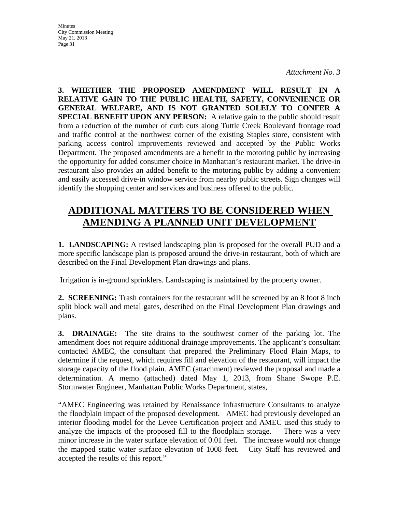*Attachment No. 3* 

**3. WHETHER THE PROPOSED AMENDMENT WILL RESULT IN A RELATIVE GAIN TO THE PUBLIC HEALTH, SAFETY, CONVENIENCE OR GENERAL WELFARE, AND IS NOT GRANTED SOLELY TO CONFER A SPECIAL BENEFIT UPON ANY PERSON:** A relative gain to the public should result from a reduction of the number of curb cuts along Tuttle Creek Boulevard frontage road and traffic control at the northwest corner of the existing Staples store, consistent with parking access control improvements reviewed and accepted by the Public Works Department. The proposed amendments are a benefit to the motoring public by increasing the opportunity for added consumer choice in Manhattan's restaurant market. The drive-in restaurant also provides an added benefit to the motoring public by adding a convenient and easily accessed drive-in window service from nearby public streets. Sign changes will identify the shopping center and services and business offered to the public.

# **ADDITIONAL MATTERS TO BE CONSIDERED WHEN AMENDING A PLANNED UNIT DEVELOPMENT**

**1. LANDSCAPING:** A revised landscaping plan is proposed for the overall PUD and a more specific landscape plan is proposed around the drive-in restaurant, both of which are described on the Final Development Plan drawings and plans.

Irrigation is in-ground sprinklers. Landscaping is maintained by the property owner.

**2. SCREENING:** Trash containers for the restaurant will be screened by an 8 foot 8 inch split block wall and metal gates, described on the Final Development Plan drawings and plans.

**3. DRAINAGE:** The site drains to the southwest corner of the parking lot. The amendment does not require additional drainage improvements. The applicant's consultant contacted AMEC, the consultant that prepared the Preliminary Flood Plain Maps, to determine if the request, which requires fill and elevation of the restaurant, will impact the storage capacity of the flood plain. AMEC (attachment) reviewed the proposal and made a determination. A memo (attached) dated May 1, 2013, from Shane Swope P.E. Stormwater Engineer, Manhattan Public Works Department, states,

"AMEC Engineering was retained by Renaissance infrastructure Consultants to analyze the floodplain impact of the proposed development. AMEC had previously developed an interior flooding model for the Levee Certification project and AMEC used this study to analyze the impacts of the proposed fill to the floodplain storage. There was a very minor increase in the water surface elevation of 0.01 feet. The increase would not change the mapped static water surface elevation of 1008 feet. City Staff has reviewed and accepted the results of this report."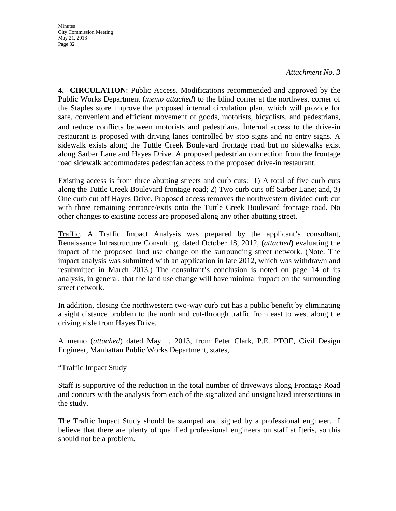#### *Attachment No. 3*

**4. CIRCULATION**: Public Access. Modifications recommended and approved by the Public Works Department (*memo attached*) to the blind corner at the northwest corner of the Staples store improve the proposed internal circulation plan, which will provide for safe, convenient and efficient movement of goods, motorists, bicyclists, and pedestrians, and reduce conflicts between motorists and pedestrians. Internal access to the drive-in restaurant is proposed with driving lanes controlled by stop signs and no entry signs. A sidewalk exists along the Tuttle Creek Boulevard frontage road but no sidewalks exist along Sarber Lane and Hayes Drive. A proposed pedestrian connection from the frontage road sidewalk accommodates pedestrian access to the proposed drive-in restaurant.

Existing access is from three abutting streets and curb cuts: 1) A total of five curb cuts along the Tuttle Creek Boulevard frontage road; 2) Two curb cuts off Sarber Lane; and, 3) One curb cut off Hayes Drive. Proposed access removes the northwestern divided curb cut with three remaining entrance/exits onto the Tuttle Creek Boulevard frontage road. No other changes to existing access are proposed along any other abutting street.

Traffic. A Traffic Impact Analysis was prepared by the applicant's consultant, Renaissance Infrastructure Consulting, dated October 18, 2012, (*attached*) evaluating the impact of the proposed land use change on the surrounding street network. (Note: The impact analysis was submitted with an application in late 2012, which was withdrawn and resubmitted in March 2013.) The consultant's conclusion is noted on page 14 of its analysis, in general, that the land use change will have minimal impact on the surrounding street network.

In addition, closing the northwestern two-way curb cut has a public benefit by eliminating a sight distance problem to the north and cut-through traffic from east to west along the driving aisle from Hayes Drive.

A memo (*attached*) dated May 1, 2013, from Peter Clark, P.E. PTOE, Civil Design Engineer, Manhattan Public Works Department, states,

"Traffic Impact Study

Staff is supportive of the reduction in the total number of driveways along Frontage Road and concurs with the analysis from each of the signalized and unsignalized intersections in the study.

The Traffic Impact Study should be stamped and signed by a professional engineer. I believe that there are plenty of qualified professional engineers on staff at Iteris, so this should not be a problem.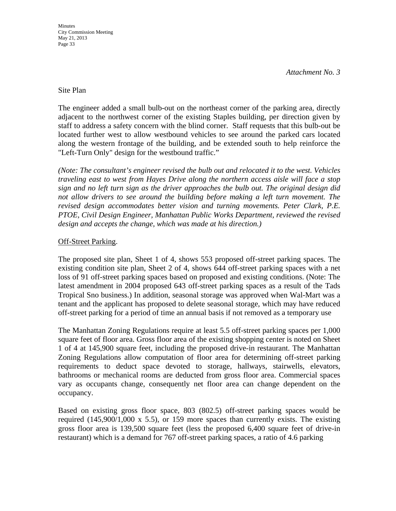#### Site Plan

The engineer added a small bulb-out on the northeast corner of the parking area, directly adjacent to the northwest corner of the existing Staples building, per direction given by staff to address a safety concern with the blind corner. Staff requests that this bulb-out be located further west to allow westbound vehicles to see around the parked cars located along the western frontage of the building, and be extended south to help reinforce the "Left-Turn Only" design for the westbound traffic."

*(Note: The consultant's engineer revised the bulb out and relocated it to the west. Vehicles traveling east to west from Hayes Drive along the northern access aisle will face a stop sign and no left turn sign as the driver approaches the bulb out. The original design did not allow drivers to see around the building before making a left turn movement. The revised design accommodates better vision and turning movements. Peter Clark, P.E. PTOE, Civil Design Engineer, Manhattan Public Works Department, reviewed the revised design and accepts the change, which was made at his direction.)* 

## Off-Street Parking.

The proposed site plan, Sheet 1 of 4, shows 553 proposed off-street parking spaces. The existing condition site plan, Sheet 2 of 4, shows 644 off-street parking spaces with a net loss of 91 off-street parking spaces based on proposed and existing conditions. (Note: The latest amendment in 2004 proposed 643 off-street parking spaces as a result of the Tads Tropical Sno business.) In addition, seasonal storage was approved when Wal-Mart was a tenant and the applicant has proposed to delete seasonal storage, which may have reduced off-street parking for a period of time an annual basis if not removed as a temporary use

The Manhattan Zoning Regulations require at least 5.5 off-street parking spaces per 1,000 square feet of floor area. Gross floor area of the existing shopping center is noted on Sheet 1 of 4 at 145,900 square feet, including the proposed drive-in restaurant. The Manhattan Zoning Regulations allow computation of floor area for determining off-street parking requirements to deduct space devoted to storage, hallways, stairwells, elevators, bathrooms or mechanical rooms are deducted from gross floor area. Commercial spaces vary as occupants change, consequently net floor area can change dependent on the occupancy.

Based on existing gross floor space, 803 (802.5) off-street parking spaces would be required  $(145,900/1,000 \times 5.5)$ , or 159 more spaces than currently exists. The existing gross floor area is 139,500 square feet (less the proposed 6,400 square feet of drive-in restaurant) which is a demand for 767 off-street parking spaces, a ratio of 4.6 parking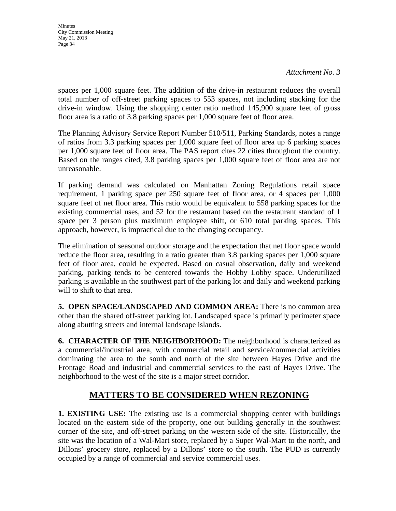**Minutes** City Commission Meeting May 21, 2013 Page 34

spaces per 1,000 square feet. The addition of the drive-in restaurant reduces the overall total number of off-street parking spaces to 553 spaces, not including stacking for the drive-in window. Using the shopping center ratio method 145,900 square feet of gross floor area is a ratio of 3.8 parking spaces per 1,000 square feet of floor area.

The Planning Advisory Service Report Number 510/511, Parking Standards, notes a range of ratios from 3.3 parking spaces per 1,000 square feet of floor area up 6 parking spaces per 1,000 square feet of floor area. The PAS report cites 22 cities throughout the country. Based on the ranges cited, 3.8 parking spaces per 1,000 square feet of floor area are not unreasonable.

If parking demand was calculated on Manhattan Zoning Regulations retail space requirement, 1 parking space per 250 square feet of floor area, or 4 spaces per 1,000 square feet of net floor area. This ratio would be equivalent to 558 parking spaces for the existing commercial uses, and 52 for the restaurant based on the restaurant standard of 1 space per 3 person plus maximum employee shift, or 610 total parking spaces. This approach, however, is impractical due to the changing occupancy.

The elimination of seasonal outdoor storage and the expectation that net floor space would reduce the floor area, resulting in a ratio greater than 3.8 parking spaces per 1,000 square feet of floor area, could be expected. Based on casual observation, daily and weekend parking, parking tends to be centered towards the Hobby Lobby space. Underutilized parking is available in the southwest part of the parking lot and daily and weekend parking will to shift to that area.

**5. OPEN SPACE/LANDSCAPED AND COMMON AREA:** There is no common area other than the shared off-street parking lot. Landscaped space is primarily perimeter space along abutting streets and internal landscape islands.

**6. CHARACTER OF THE NEIGHBORHOOD:** The neighborhood is characterized as a commercial/industrial area, with commercial retail and service/commercial activities dominating the area to the south and north of the site between Hayes Drive and the Frontage Road and industrial and commercial services to the east of Hayes Drive. The neighborhood to the west of the site is a major street corridor.

## **MATTERS TO BE CONSIDERED WHEN REZONING**

**1. EXISTING USE:** The existing use is a commercial shopping center with buildings located on the eastern side of the property, one out building generally in the southwest corner of the site, and off-street parking on the western side of the site. Historically, the site was the location of a Wal-Mart store, replaced by a Super Wal-Mart to the north, and Dillons' grocery store, replaced by a Dillons' store to the south. The PUD is currently occupied by a range of commercial and service commercial uses.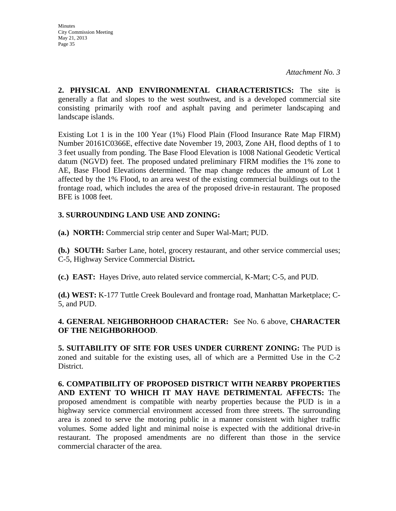**Minutes** City Commission Meeting May 21, 2013 Page 35

**2. PHYSICAL AND ENVIRONMENTAL CHARACTERISTICS:** The site is generally a flat and slopes to the west southwest, and is a developed commercial site consisting primarily with roof and asphalt paving and perimeter landscaping and landscape islands.

Existing Lot 1 is in the 100 Year (1%) Flood Plain (Flood Insurance Rate Map FIRM) Number 20161C0366E, effective date November 19, 2003, Zone AH, flood depths of 1 to 3 feet usually from ponding. The Base Flood Elevation is 1008 National Geodetic Vertical datum (NGVD) feet. The proposed undated preliminary FIRM modifies the 1% zone to AE, Base Flood Elevations determined. The map change reduces the amount of Lot 1 affected by the 1% Flood, to an area west of the existing commercial buildings out to the frontage road, which includes the area of the proposed drive-in restaurant. The proposed BFE is 1008 feet.

## **3. SURROUNDING LAND USE AND ZONING:**

**(a.) NORTH:** Commercial strip center and Super Wal-Mart; PUD.

**(b.) SOUTH:** Sarber Lane, hotel, grocery restaurant, and other service commercial uses; C-5, Highway Service Commercial District**.** 

**(c.) EAST:** Hayes Drive, auto related service commercial, K-Mart; C-5, and PUD.

**(d.) WEST:** K-177 Tuttle Creek Boulevard and frontage road, Manhattan Marketplace; C-5, and PUD.

## **4. GENERAL NEIGHBORHOOD CHARACTER:** See No. 6 above, **CHARACTER OF THE NEIGHBORHOOD**.

**5. SUITABILITY OF SITE FOR USES UNDER CURRENT ZONING:** The PUD is zoned and suitable for the existing uses, all of which are a Permitted Use in the C-2 District.

**6. COMPATIBILITY OF PROPOSED DISTRICT WITH NEARBY PROPERTIES AND EXTENT TO WHICH IT MAY HAVE DETRIMENTAL AFFECTS:** The proposed amendment is compatible with nearby properties because the PUD is in a highway service commercial environment accessed from three streets. The surrounding area is zoned to serve the motoring public in a manner consistent with higher traffic volumes. Some added light and minimal noise is expected with the additional drive-in restaurant. The proposed amendments are no different than those in the service commercial character of the area.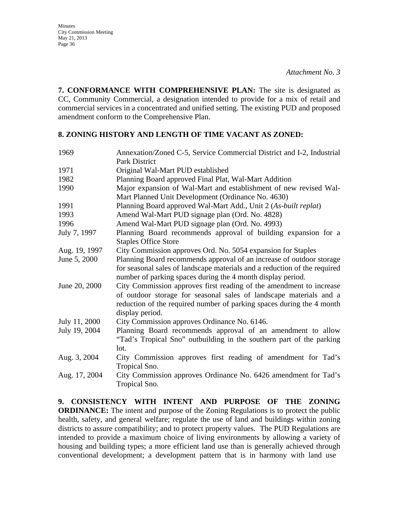**7. CONFORMANCE WITH COMPREHENSIVE PLAN:** The site is designated as CC, Community Commercial, a designation intended to provide for a mix of retail and commercial services in a concentrated and unified setting. The existing PUD and proposed amendment conform to the Comprehensive Plan.

## **8. ZONING HISTORY AND LENGTH OF TIME VACANT AS ZONED:**

| 1969          | Annexation/Zoned C-5, Service Commercial District and I-2, Industrial                                                                    |
|---------------|------------------------------------------------------------------------------------------------------------------------------------------|
|               | <b>Park District</b>                                                                                                                     |
| 1971          | Original Wal-Mart PUD established                                                                                                        |
| 1982          | Planning Board approved Final Plat, Wal-Mart Addition                                                                                    |
| 1990          | Major expansion of Wal-Mart and establishment of new revised Wal-<br>Mart Planned Unit Development (Ordinance No. 4630)                  |
| 1991          | Planning Board approved Wal-Mart Add., Unit 2 (As-built replat)                                                                          |
| 1993          | Amend Wal-Mart PUD signage plan (Ord. No. 4828)                                                                                          |
| 1996          | Amend Wal-Mart PUD signage plan (Ord. No. 4993)                                                                                          |
| July 7, 1997  | Planning Board recommends approval of building expansion for a                                                                           |
|               | <b>Staples Office Store</b>                                                                                                              |
| Aug. 19, 1997 | City Commission approves Ord. No. 5054 expansion for Staples                                                                             |
| June 5, 2000  | Planning Board recommends approval of an increase of outdoor storage                                                                     |
|               | for seasonal sales of landscape materials and a reduction of the required<br>number of parking spaces during the 4 month display period. |
| June 20, 2000 | City Commission approves first reading of the amendment to increase                                                                      |
|               | of outdoor storage for seasonal sales of landscape materials and a                                                                       |
|               | reduction of the required number of parking spaces during the 4 month                                                                    |
|               | display period.                                                                                                                          |
| July 11, 2000 | City Commission approves Ordinance No. 6146.                                                                                             |
| July 19, 2004 | Planning Board recommends approval of an amendment to allow                                                                              |
|               | "Tad's Tropical Sno" outbuilding in the southern part of the parking                                                                     |
|               | lot.                                                                                                                                     |
| Aug. 3, 2004  | City Commission approves first reading of amendment for Tad's                                                                            |
|               | Tropical Sno.                                                                                                                            |
| Aug. 17, 2004 | City Commission approves Ordinance No. 6426 amendment for Tad's                                                                          |
|               | Tropical Sno.                                                                                                                            |

**9. CONSISTENCY WITH INTENT AND PURPOSE OF THE ZONING ORDINANCE:** The intent and purpose of the Zoning Regulations is to protect the public health, safety, and general welfare; regulate the use of land and buildings within zoning districts to assure compatibility; and to protect property values. The PUD Regulations are intended to provide a maximum choice of living environments by allowing a variety of housing and building types; a more efficient land use than is generally achieved through conventional development; a development pattern that is in harmony with land use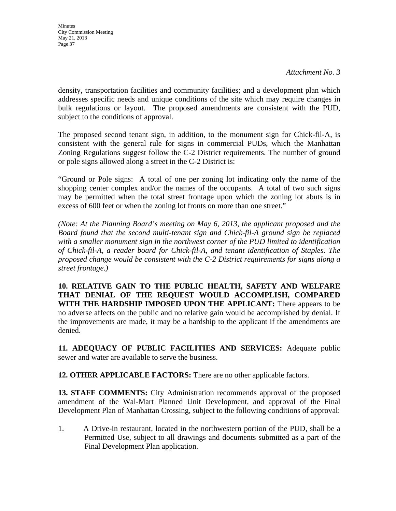*Attachment No. 3* 

density, transportation facilities and community facilities; and a development plan which addresses specific needs and unique conditions of the site which may require changes in bulk regulations or layout. The proposed amendments are consistent with the PUD, subject to the conditions of approval.

The proposed second tenant sign, in addition, to the monument sign for Chick-fil-A, is consistent with the general rule for signs in commercial PUDs, which the Manhattan Zoning Regulations suggest follow the C-2 District requirements. The number of ground or pole signs allowed along a street in the C-2 District is:

"Ground or Pole signs: A total of one per zoning lot indicating only the name of the shopping center complex and/or the names of the occupants. A total of two such signs may be permitted when the total street frontage upon which the zoning lot abuts is in excess of 600 feet or when the zoning lot fronts on more than one street."

*(Note: At the Planning Board's meeting on May 6, 2013, the applicant proposed and the Board found that the second multi-tenant sign and Chick-fil-A ground sign be replaced with a smaller monument sign in the northwest corner of the PUD limited to identification of Chick-fil-A, a reader board for Chick-fil-A, and tenant identification of Staples. The proposed change would be consistent with the C-2 District requirements for signs along a street frontage.)* 

**10. RELATIVE GAIN TO THE PUBLIC HEALTH, SAFETY AND WELFARE THAT DENIAL OF THE REQUEST WOULD ACCOMPLISH, COMPARED WITH THE HARDSHIP IMPOSED UPON THE APPLICANT:** There appears to be no adverse affects on the public and no relative gain would be accomplished by denial. If the improvements are made, it may be a hardship to the applicant if the amendments are denied.

**11. ADEQUACY OF PUBLIC FACILITIES AND SERVICES:** Adequate public sewer and water are available to serve the business.

**12. OTHER APPLICABLE FACTORS:** There are no other applicable factors.

**13. STAFF COMMENTS:** City Administration recommends approval of the proposed amendment of the Wal-Mart Planned Unit Development, and approval of the Final Development Plan of Manhattan Crossing, subject to the following conditions of approval:

1. A Drive-in restaurant, located in the northwestern portion of the PUD, shall be a Permitted Use, subject to all drawings and documents submitted as a part of the Final Development Plan application.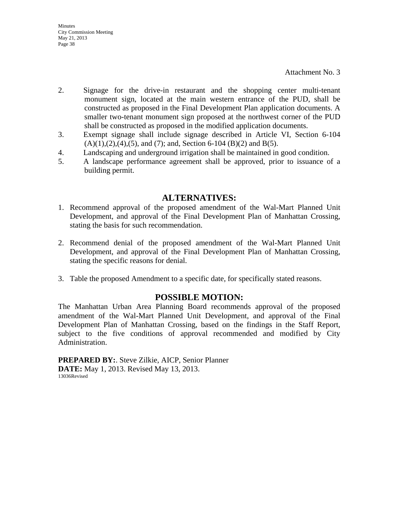Attachment No. 3

- 2. Signage for the drive-in restaurant and the shopping center multi-tenant monument sign, located at the main western entrance of the PUD, shall be constructed as proposed in the Final Development Plan application documents. A smaller two-tenant monument sign proposed at the northwest corner of the PUD shall be constructed as proposed in the modified application documents.
- 3. Exempt signage shall include signage described in Article VI, Section 6-104  $(A)(1),(2),(4),(5)$ , and  $(7)$ ; and, Section 6-104  $(B)(2)$  and  $B(5)$ .
- 4. Landscaping and underground irrigation shall be maintained in good condition.
- 5. A landscape performance agreement shall be approved, prior to issuance of a building permit.

## **ALTERNATIVES:**

- 1. Recommend approval of the proposed amendment of the Wal-Mart Planned Unit Development, and approval of the Final Development Plan of Manhattan Crossing, stating the basis for such recommendation.
- 2. Recommend denial of the proposed amendment of the Wal-Mart Planned Unit Development, and approval of the Final Development Plan of Manhattan Crossing, stating the specific reasons for denial.
- 3. Table the proposed Amendment to a specific date, for specifically stated reasons.

## **POSSIBLE MOTION:**

The Manhattan Urban Area Planning Board recommends approval of the proposed amendment of the Wal-Mart Planned Unit Development, and approval of the Final Development Plan of Manhattan Crossing, based on the findings in the Staff Report, subject to the five conditions of approval recommended and modified by City Administration.

**PREPARED BY:**. Steve Zilkie, AICP, Senior Planner **DATE:** May 1, 2013. Revised May 13, 2013. 13036Revised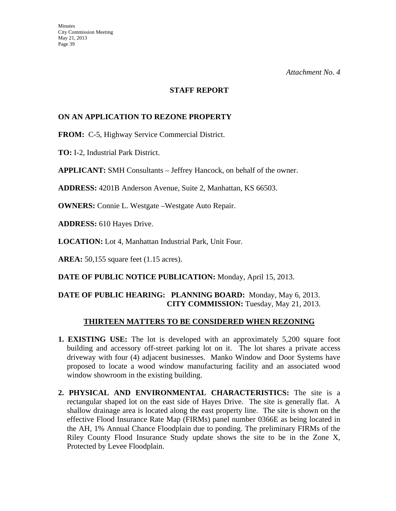#### **STAFF REPORT**

## **ON AN APPLICATION TO REZONE PROPERTY**

**FROM:** C-5, Highway Service Commercial District.

**TO:** I-2, Industrial Park District.

**APPLICANT:** SMH Consultants – Jeffrey Hancock, on behalf of the owner.

**ADDRESS:** 4201B Anderson Avenue, Suite 2, Manhattan, KS 66503.

**OWNERS:** Connie L. Westgate –Westgate Auto Repair.

**ADDRESS:** 610 Hayes Drive.

**LOCATION:** Lot 4, Manhattan Industrial Park, Unit Four.

**AREA:** 50,155 square feet (1.15 acres).

**DATE OF PUBLIC NOTICE PUBLICATION:** Monday, April 15, 2013.

## **DATE OF PUBLIC HEARING: PLANNING BOARD:** Monday, May 6, 2013. **CITY COMMISSION:** Tuesday, May 21, 2013.

#### **THIRTEEN MATTERS TO BE CONSIDERED WHEN REZONING**

- **1. EXISTING USE:** The lot is developed with an approximately 5,200 square foot building and accessory off-street parking lot on it. The lot shares a private access driveway with four (4) adjacent businesses. Manko Window and Door Systems have proposed to locate a wood window manufacturing facility and an associated wood window showroom in the existing building.
- **2. PHYSICAL AND ENVIRONMENTAL CHARACTERISTICS:** The site is a rectangular shaped lot on the east side of Hayes Drive. The site is generally flat. A shallow drainage area is located along the east property line. The site is shown on the effective Flood Insurance Rate Map (FIRMs) panel number 0366E as being located in the AH, 1% Annual Chance Floodplain due to ponding. The preliminary FIRMs of the Riley County Flood Insurance Study update shows the site to be in the Zone X, Protected by Levee Floodplain.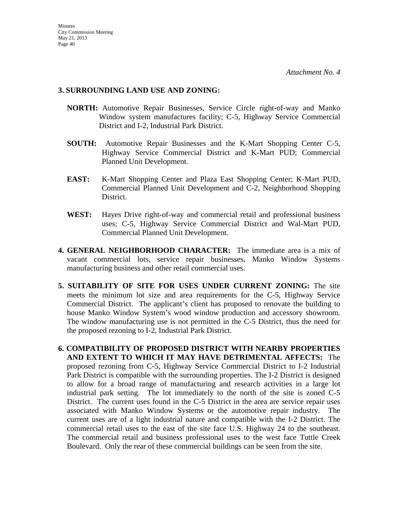#### **3. SURROUNDING LAND USE AND ZONING:**

- **NORTH:** Automotive Repair Businesses, Service Circle right-of-way and Manko Window system manufactures facility; C-5, Highway Service Commercial District and I-2, Industrial Park District.
- **SOUTH:** Automotive Repair Businesses and the K-Mart Shopping Center C-5, Highway Service Commercial District and K-Mart PUD; Commercial Planned Unit Development.
- **EAST:** K-Mart Shopping Center and Plaza East Shopping Center; K-Mart PUD, Commercial Planned Unit Development and C-2, Neighborhood Shopping District.
- **WEST:** Hayes Drive right-of-way and commercial retail and professional business uses; C-5, Highway Service Commercial District and Wal-Mart PUD, Commercial Planned Unit Development.
- **4. GENERAL NEIGHBORHOOD CHARACTER:** The immediate area is a mix of vacant commercial lots, service repair businesses, Manko Window Systems manufacturing business and other retail commercial uses.
- **5. SUITABILITY OF SITE FOR USES UNDER CURRENT ZONING:** The site meets the minimum lot size and area requirements for the C-5, Highway Service Commercial District. The applicant's client has proposed to renovate the building to house Manko Window System's wood window production and accessory showroom. The window manufacturing use is not permitted in the C-5 District, thus the need for the proposed rezoning to I-2, Industrial Park District.
- **6. COMPATIBILITY OF PROPOSED DISTRICT WITH NEARBY PROPERTIES AND EXTENT TO WHICH IT MAY HAVE DETRIMENTAL AFFECTS:** The proposed rezoning from C-5, Highway Service Commercial District to I-2 Industrial Park District is compatible with the surrounding properties. The I-2 District is designed to allow for a broad range of manufacturing and research activities in a large lot industrial park setting. The lot immediately to the north of the site is zoned C-5 District. The current uses found in the C-5 District in the area are service repair uses associated with Manko Window Systems or the automotive repair industry. The current uses are of a light industrial nature and compatible with the I-2 District. The commercial retail uses to the east of the site face U.S. Highway 24 to the southeast. The commercial retail and business professional uses to the west face Tuttle Creek Boulevard. Only the rear of these commercial buildings can be seen from the site.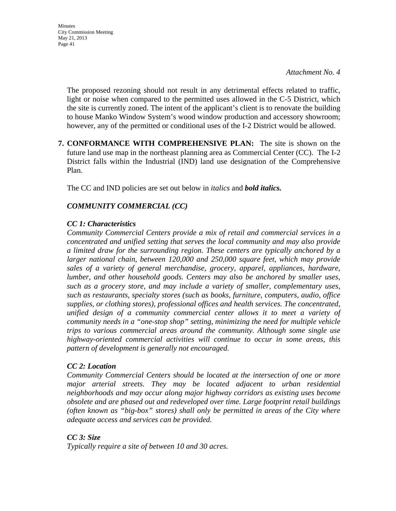*Attachment No. 4* 

 The proposed rezoning should not result in any detrimental effects related to traffic, light or noise when compared to the permitted uses allowed in the C-5 District, which the site is currently zoned. The intent of the applicant's client is to renovate the building to house Manko Window System's wood window production and accessory showroom; however, any of the permitted or conditional uses of the I-2 District would be allowed.

**7. CONFORMANCE WITH COMPREHENSIVE PLAN:** The site is shown on the future land use map in the northeast planning area as Commercial Center (CC). The I-2 District falls within the Industrial (IND) land use designation of the Comprehensive Plan.

The CC and IND policies are set out below in *italics* and *bold italics.*

## *COMMUNITY COMMERCIAL (CC)*

#### *CC 1: Characteristics*

*Community Commercial Centers provide a mix of retail and commercial services in a concentrated and unified setting that serves the local community and may also provide a limited draw for the surrounding region. These centers are typically anchored by a larger national chain, between 120,000 and 250,000 square feet, which may provide sales of a variety of general merchandise, grocery, apparel, appliances, hardware, lumber, and other household goods. Centers may also be anchored by smaller uses, such as a grocery store, and may include a variety of smaller, complementary uses, such as restaurants, specialty stores (such as books, furniture, computers, audio, office supplies, or clothing stores), professional offices and health services. The concentrated, unified design of a community commercial center allows it to meet a variety of community needs in a "one-stop shop" setting, minimizing the need for multiple vehicle trips to various commercial areas around the community. Although some single use highway-oriented commercial activities will continue to occur in some areas, this pattern of development is generally not encouraged.* 

#### *CC 2: Location*

*Community Commercial Centers should be located at the intersection of one or more major arterial streets. They may be located adjacent to urban residential neighborhoods and may occur along major highway corridors as existing uses become obsolete and are phased out and redeveloped over time. Large footprint retail buildings (often known as "big-box" stores) shall only be permitted in areas of the City where adequate access and services can be provided.* 

## *CC 3: Size*

*Typically require a site of between 10 and 30 acres.*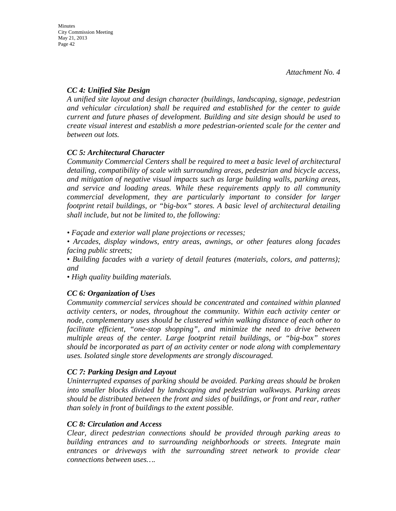## *CC 4: Unified Site Design*

*A unified site layout and design character (buildings, landscaping, signage, pedestrian and vehicular circulation) shall be required and established for the center to guide current and future phases of development. Building and site design should be used to create visual interest and establish a more pedestrian-oriented scale for the center and between out lots.* 

## *CC 5: Architectural Character*

*Community Commercial Centers shall be required to meet a basic level of architectural detailing, compatibility of scale with surrounding areas, pedestrian and bicycle access, and mitigation of negative visual impacts such as large building walls, parking areas, and service and loading areas. While these requirements apply to all community commercial development, they are particularly important to consider for larger footprint retail buildings, or "big-box" stores. A basic level of architectural detailing shall include, but not be limited to, the following:* 

*• Façade and exterior wall plane projections or recesses;* 

*• Arcades, display windows, entry areas, awnings, or other features along facades facing public streets;* 

*• Building facades with a variety of detail features (materials, colors, and patterns); and* 

*• High quality building materials.* 

## *CC 6: Organization of Uses*

*Community commercial services should be concentrated and contained within planned activity centers, or nodes, throughout the community. Within each activity center or node, complementary uses should be clustered within walking distance of each other to facilitate efficient, "one-stop shopping", and minimize the need to drive between multiple areas of the center. Large footprint retail buildings, or "big-box" stores should be incorporated as part of an activity center or node along with complementary uses. Isolated single store developments are strongly discouraged.* 

## *CC 7: Parking Design and Layout*

*Uninterrupted expanses of parking should be avoided. Parking areas should be broken into smaller blocks divided by landscaping and pedestrian walkways. Parking areas should be distributed between the front and sides of buildings, or front and rear, rather than solely in front of buildings to the extent possible.* 

## *CC 8: Circulation and Access*

*Clear, direct pedestrian connections should be provided through parking areas to building entrances and to surrounding neighborhoods or streets. Integrate main entrances or driveways with the surrounding street network to provide clear connections between uses….*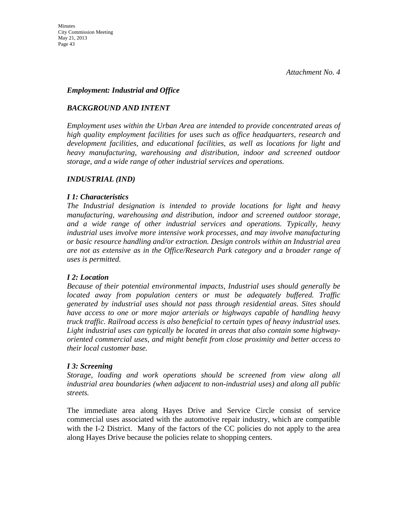#### *Employment: Industrial and Office*

## *BACKGROUND AND INTENT*

*Employment uses within the Urban Area are intended to provide concentrated areas of high quality employment facilities for uses such as office headquarters, research and development facilities, and educational facilities, as well as locations for light and heavy manufacturing, warehousing and distribution, indoor and screened outdoor storage, and a wide range of other industrial services and operations.* 

#### *INDUSTRIAL (IND)*

#### *I 1: Characteristics*

*The Industrial designation is intended to provide locations for light and heavy manufacturing, warehousing and distribution, indoor and screened outdoor storage, and a wide range of other industrial services and operations. Typically, heavy industrial uses involve more intensive work processes, and may involve manufacturing or basic resource handling and/or extraction. Design controls within an Industrial area are not as extensive as in the Office/Research Park category and a broader range of uses is permitted.* 

## *I 2: Location*

*Because of their potential environmental impacts, Industrial uses should generally be located away from population centers or must be adequately buffered. Traffic generated by industrial uses should not pass through residential areas. Sites should have access to one or more major arterials or highways capable of handling heavy truck traffic. Railroad access is also beneficial to certain types of heavy industrial uses. Light industrial uses can typically be located in areas that also contain some highwayoriented commercial uses, and might benefit from close proximity and better access to their local customer base.* 

#### *I 3: Screening*

*Storage, loading and work operations should be screened from view along all industrial area boundaries (when adjacent to non-industrial uses) and along all public streets.* 

The immediate area along Hayes Drive and Service Circle consist of service commercial uses associated with the automotive repair industry, which are compatible with the I-2 District. Many of the factors of the CC policies do not apply to the area along Hayes Drive because the policies relate to shopping centers.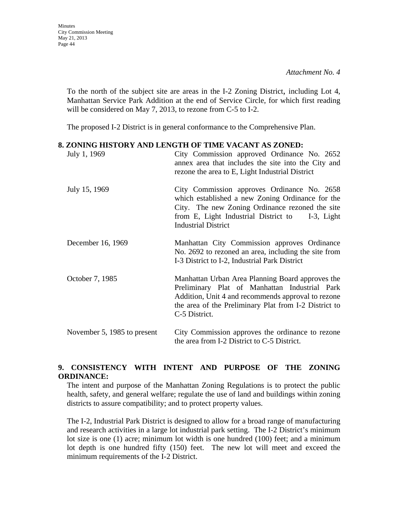**Minutes** 

*Attachment No. 4* 

To the north of the subject site are areas in the I-2 Zoning District, including Lot 4, Manhattan Service Park Addition at the end of Service Circle, for which first reading will be considered on May 7, 2013, to rezone from C-5 to I-2.

The proposed I-2 District is in general conformance to the Comprehensive Plan.

#### **8. ZONING HISTORY AND LENGTH OF TIME VACANT AS ZONED:**

| July 1, 1969                | City Commission approved Ordinance No. 2652<br>annex area that includes the site into the City and<br>rezone the area to E, Light Industrial District                                                                               |
|-----------------------------|-------------------------------------------------------------------------------------------------------------------------------------------------------------------------------------------------------------------------------------|
| July 15, 1969               | City Commission approves Ordinance No. 2658<br>which established a new Zoning Ordinance for the<br>City. The new Zoning Ordinance rezoned the site<br>from E, Light Industrial District to I-3, Light<br><b>Industrial District</b> |
| December 16, 1969           | Manhattan City Commission approves Ordinance<br>No. 2692 to rezoned an area, including the site from<br>I-3 District to I-2, Industrial Park District                                                                               |
| October 7, 1985             | Manhattan Urban Area Planning Board approves the<br>Preliminary Plat of Manhattan Industrial Park<br>Addition, Unit 4 and recommends approval to rezone<br>the area of the Preliminary Plat from I-2 District to<br>C-5 District.   |
| November 5, 1985 to present | City Commission approves the ordinance to rezone<br>the area from I-2 District to C-5 District.                                                                                                                                     |

## **9. CONSISTENCY WITH INTENT AND PURPOSE OF THE ZONING ORDINANCE:**

The intent and purpose of the Manhattan Zoning Regulations is to protect the public health, safety, and general welfare; regulate the use of land and buildings within zoning districts to assure compatibility; and to protect property values.

The I-2, Industrial Park District is designed to allow for a broad range of manufacturing and research activities in a large lot industrial park setting. The I-2 District's minimum lot size is one (1) acre; minimum lot width is one hundred (100) feet; and a minimum lot depth is one hundred fifty (150) feet. The new lot will meet and exceed the minimum requirements of the I-2 District.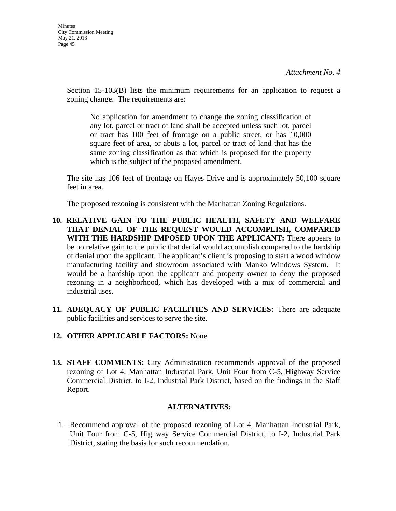Section 15-103(B) lists the minimum requirements for an application to request a zoning change. The requirements are:

No application for amendment to change the zoning classification of any lot, parcel or tract of land shall be accepted unless such lot, parcel or tract has 100 feet of frontage on a public street, or has 10,000 square feet of area, or abuts a lot, parcel or tract of land that has the same zoning classification as that which is proposed for the property which is the subject of the proposed amendment.

The site has 106 feet of frontage on Hayes Drive and is approximately 50,100 square feet in area.

The proposed rezoning is consistent with the Manhattan Zoning Regulations.

- **10. RELATIVE GAIN TO THE PUBLIC HEALTH, SAFETY AND WELFARE THAT DENIAL OF THE REQUEST WOULD ACCOMPLISH, COMPARED WITH THE HARDSHIP IMPOSED UPON THE APPLICANT:** There appears to be no relative gain to the public that denial would accomplish compared to the hardship of denial upon the applicant. The applicant's client is proposing to start a wood window manufacturing facility and showroom associated with Manko Windows System. It would be a hardship upon the applicant and property owner to deny the proposed rezoning in a neighborhood, which has developed with a mix of commercial and industrial uses.
- **11. ADEQUACY OF PUBLIC FACILITIES AND SERVICES:** There are adequate public facilities and services to serve the site.

## **12. OTHER APPLICABLE FACTORS:** None

**13. STAFF COMMENTS:** City Administration recommends approval of the proposed rezoning of Lot 4, Manhattan Industrial Park, Unit Four from C-5, Highway Service Commercial District, to I-2, Industrial Park District, based on the findings in the Staff Report.

## **ALTERNATIVES:**

1. Recommend approval of the proposed rezoning of Lot 4, Manhattan Industrial Park, Unit Four from C-5, Highway Service Commercial District, to I-2, Industrial Park District, stating the basis for such recommendation.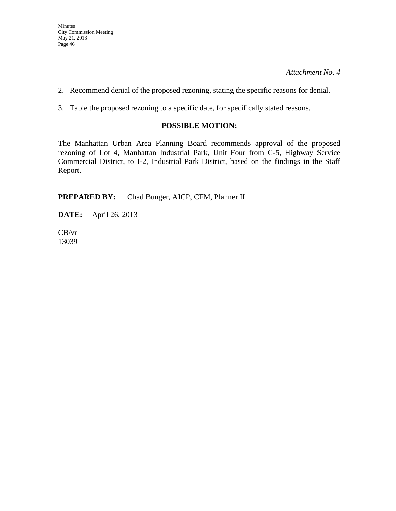- 2. Recommend denial of the proposed rezoning, stating the specific reasons for denial.
- 3. Table the proposed rezoning to a specific date, for specifically stated reasons.

## **POSSIBLE MOTION:**

The Manhattan Urban Area Planning Board recommends approval of the proposed rezoning of Lot 4, Manhattan Industrial Park, Unit Four from C-5, Highway Service Commercial District, to I-2, Industrial Park District, based on the findings in the Staff Report.

**PREPARED BY:** Chad Bunger, AICP, CFM, Planner II

**DATE:** April 26, 2013

CB/vr 13039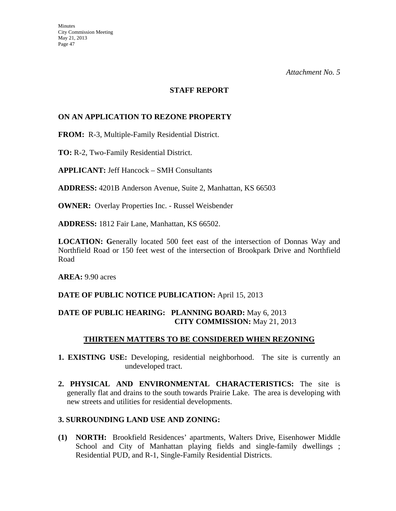#### **STAFF REPORT**

## **ON AN APPLICATION TO REZONE PROPERTY**

**FROM:** R-3, Multiple-Family Residential District.

**TO:** R-2, Two-Family Residential District.

**APPLICANT:** Jeff Hancock – SMH Consultants

**ADDRESS:** 4201B Anderson Avenue, Suite 2, Manhattan, KS 66503

**OWNER:** Overlay Properties Inc. - Russel Weisbender

**ADDRESS:** 1812 Fair Lane, Manhattan, KS 66502.

**LOCATION: G**enerally located 500 feet east of the intersection of Donnas Way and Northfield Road or 150 feet west of the intersection of Brookpark Drive and Northfield Road

**AREA:** 9.90 acres

#### **DATE OF PUBLIC NOTICE PUBLICATION:** April 15, 2013

## **DATE OF PUBLIC HEARING: PLANNING BOARD:** May 6, 2013 **CITY COMMISSION:** May 21, 2013

#### **THIRTEEN MATTERS TO BE CONSIDERED WHEN REZONING**

- **1. EXISTING USE:** Developing, residential neighborhood. The site is currently an undeveloped tract.
- **2. PHYSICAL AND ENVIRONMENTAL CHARACTERISTICS:** The site is generally flat and drains to the south towards Prairie Lake. The area is developing with new streets and utilities for residential developments.

#### **3. SURROUNDING LAND USE AND ZONING:**

**(1) NORTH:** Brookfield Residences' apartments, Walters Drive, Eisenhower Middle School and City of Manhattan playing fields and single-family dwellings; Residential PUD, and R-1, Single-Family Residential Districts.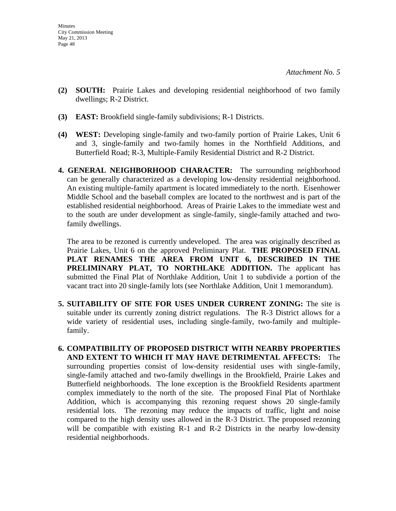- **(2) SOUTH:** Prairie Lakes and developing residential neighborhood of two family dwellings; R-2 District.
- **(3) EAST:** Brookfield single-family subdivisions; R-1 Districts.
- **(4) WEST:** Developing single-family and two-family portion of Prairie Lakes, Unit 6 and 3, single-family and two-family homes in the Northfield Additions, and Butterfield Road; R-3, Multiple-Family Residential District and R-2 District.
- **4. GENERAL NEIGHBORHOOD CHARACTER:** The surrounding neighborhood can be generally characterized as a developing low-density residential neighborhood. An existing multiple-family apartment is located immediately to the north. Eisenhower Middle School and the baseball complex are located to the northwest and is part of the established residential neighborhood. Areas of Prairie Lakes to the immediate west and to the south are under development as single-family, single-family attached and twofamily dwellings.

 The area to be rezoned is currently undeveloped. The area was originally described as Prairie Lakes, Unit 6 on the approved Preliminary Plat. **THE PROPOSED FINAL PLAT RENAMES THE AREA FROM UNIT 6, DESCRIBED IN THE PRELIMINARY PLAT, TO NORTHLAKE ADDITION.** The applicant has submitted the Final Plat of Northlake Addition, Unit 1 to subdivide a portion of the vacant tract into 20 single-family lots (see Northlake Addition, Unit 1 memorandum).

- **5. SUITABILITY OF SITE FOR USES UNDER CURRENT ZONING:** The site is suitable under its currently zoning district regulations. The R-3 District allows for a wide variety of residential uses, including single-family, two-family and multiplefamily.
- **6. COMPATIBILITY OF PROPOSED DISTRICT WITH NEARBY PROPERTIES AND EXTENT TO WHICH IT MAY HAVE DETRIMENTAL AFFECTS:** The surrounding properties consist of low-density residential uses with single-family, single-family attached and two-family dwellings in the Brookfield, Prairie Lakes and Butterfield neighborhoods. The lone exception is the Brookfield Residents apartment complex immediately to the north of the site. The proposed Final Plat of Northlake Addition, which is accompanying this rezoning request shows 20 single-family residential lots. The rezoning may reduce the impacts of traffic, light and noise compared to the high density uses allowed in the R-3 District. The proposed rezoning will be compatible with existing R-1 and R-2 Districts in the nearby low-density residential neighborhoods.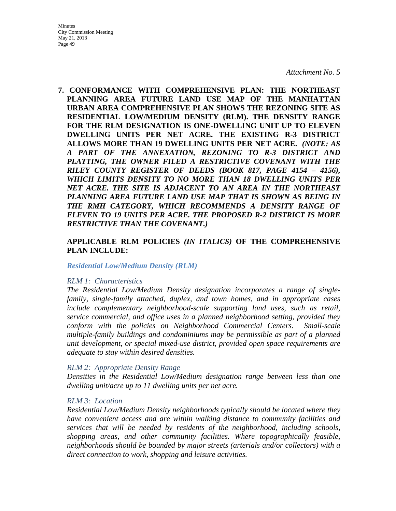**7. CONFORMANCE WITH COMPREHENSIVE PLAN: THE NORTHEAST PLANNING AREA FUTURE LAND USE MAP OF THE MANHATTAN URBAN AREA COMPREHENSIVE PLAN SHOWS THE REZONING SITE AS RESIDENTIAL LOW/MEDIUM DENSITY (RLM). THE DENSITY RANGE FOR THE RLM DESIGNATION IS ONE-DWELLING UNIT UP TO ELEVEN DWELLING UNITS PER NET ACRE. THE EXISTING R-3 DISTRICT ALLOWS MORE THAN 19 DWELLING UNITS PER NET ACRE.** *(NOTE: AS A PART OF THE ANNEXATION, REZONING TO R-3 DISTRICT AND PLATTING, THE OWNER FILED A RESTRICTIVE COVENANT WITH THE RILEY COUNTY REGISTER OF DEEDS (BOOK 817, PAGE 4154 – 4156), WHICH LIMITS DENSITY TO NO MORE THAN 18 DWELLING UNITS PER NET ACRE. THE SITE IS ADJACENT TO AN AREA IN THE NORTHEAST PLANNING AREA FUTURE LAND USE MAP THAT IS SHOWN AS BEING IN THE RMH CATEGORY, WHICH RECOMMENDS A DENSITY RANGE OF ELEVEN TO 19 UNITS PER ACRE. THE PROPOSED R-2 DISTRICT IS MORE RESTRICTIVE THAN THE COVENANT.)*

## **APPLICABLE RLM POLICIES** *(IN ITALICS)* **OF THE COMPREHENSIVE PLAN INCLUDE:**

#### *Residential Low/Medium Density (RLM)*

#### *RLM 1: Characteristics*

*The Residential Low/Medium Density designation incorporates a range of singlefamily, single-family attached, duplex, and town homes, and in appropriate cases include complementary neighborhood-scale supporting land uses, such as retail, service commercial, and office uses in a planned neighborhood setting, provided they conform with the policies on Neighborhood Commercial Centers. Small-scale multiple-family buildings and condominiums may be permissible as part of a planned unit development, or special mixed-use district, provided open space requirements are adequate to stay within desired densities.* 

#### *RLM 2: Appropriate Density Range*

*Densities in the Residential Low/Medium designation range between less than one dwelling unit/acre up to 11 dwelling units per net acre.* 

#### *RLM 3: Location*

*Residential Low/Medium Density neighborhoods typically should be located where they have convenient access and are within walking distance to community facilities and services that will be needed by residents of the neighborhood, including schools, shopping areas, and other community facilities. Where topographically feasible, neighborhoods should be bounded by major streets (arterials and/or collectors) with a direct connection to work, shopping and leisure activities.*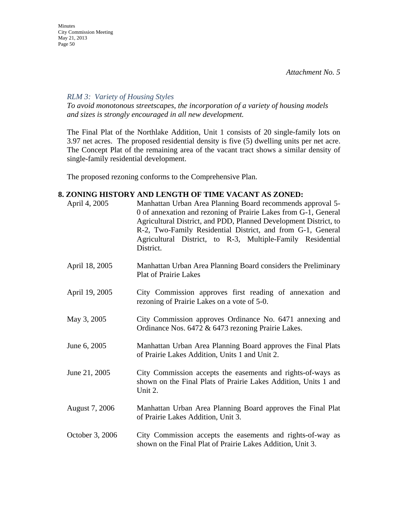*RLM 3: Variety of Housing Styles* 

*To avoid monotonous streetscapes, the incorporation of a variety of housing models and sizes is strongly encouraged in all new development.* 

The Final Plat of the Northlake Addition, Unit 1 consists of 20 single-family lots on 3.97 net acres. The proposed residential density is five (5) dwelling units per net acre. The Concept Plat of the remaining area of the vacant tract shows a similar density of single-family residential development.

The proposed rezoning conforms to the Comprehensive Plan.

#### **8. ZONING HISTORY AND LENGTH OF TIME VACANT AS ZONED:**

| April 4, 2005   | Manhattan Urban Area Planning Board recommends approval 5-<br>0 of annexation and rezoning of Prairie Lakes from G-1, General<br>Agricultural District, and PDD, Planned Development District, to<br>R-2, Two-Family Residential District, and from G-1, General<br>Agricultural District, to R-3, Multiple-Family Residential<br>District. |
|-----------------|---------------------------------------------------------------------------------------------------------------------------------------------------------------------------------------------------------------------------------------------------------------------------------------------------------------------------------------------|
| April 18, 2005  | Manhattan Urban Area Planning Board considers the Preliminary<br><b>Plat of Prairie Lakes</b>                                                                                                                                                                                                                                               |
| April 19, 2005  | City Commission approves first reading of annexation and<br>rezoning of Prairie Lakes on a vote of 5-0.                                                                                                                                                                                                                                     |
| May 3, 2005     | City Commission approves Ordinance No. 6471 annexing and<br>Ordinance Nos. 6472 & 6473 rezoning Prairie Lakes.                                                                                                                                                                                                                              |
| June 6, 2005    | Manhattan Urban Area Planning Board approves the Final Plats<br>of Prairie Lakes Addition, Units 1 and Unit 2.                                                                                                                                                                                                                              |
| June 21, 2005   | City Commission accepts the easements and rights-of-ways as<br>shown on the Final Plats of Prairie Lakes Addition, Units 1 and<br>Unit 2.                                                                                                                                                                                                   |
| August 7, 2006  | Manhattan Urban Area Planning Board approves the Final Plat<br>of Prairie Lakes Addition, Unit 3.                                                                                                                                                                                                                                           |
| October 3, 2006 | City Commission accepts the easements and rights-of-way as<br>shown on the Final Plat of Prairie Lakes Addition, Unit 3.                                                                                                                                                                                                                    |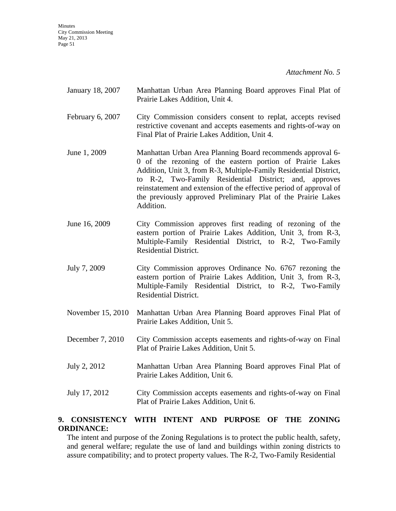*Attachment No. 5* 

- January 18, 2007 Manhattan Urban Area Planning Board approves Final Plat of Prairie Lakes Addition, Unit 4.
- February 6, 2007 City Commission considers consent to replat, accepts revised restrictive covenant and accepts easements and rights-of-way on Final Plat of Prairie Lakes Addition, Unit 4.
- June 1, 2009 Manhattan Urban Area Planning Board recommends approval 6- 0 of the rezoning of the eastern portion of Prairie Lakes Addition, Unit 3, from R-3, Multiple-Family Residential District, to R-2, Two-Family Residential District; and, approves reinstatement and extension of the effective period of approval of the previously approved Preliminary Plat of the Prairie Lakes Addition.
- June 16, 2009 City Commission approves first reading of rezoning of the eastern portion of Prairie Lakes Addition, Unit 3, from R-3, Multiple-Family Residential District, to R-2, Two-Family Residential District.
- July 7, 2009 City Commission approves Ordinance No. 6767 rezoning the eastern portion of Prairie Lakes Addition, Unit 3, from R-3, Multiple-Family Residential District, to R-2, Two-Family Residential District.
- November 15, 2010 Manhattan Urban Area Planning Board approves Final Plat of Prairie Lakes Addition, Unit 5.
- December 7, 2010 City Commission accepts easements and rights-of-way on Final Plat of Prairie Lakes Addition, Unit 5.
- July 2, 2012 Manhattan Urban Area Planning Board approves Final Plat of Prairie Lakes Addition, Unit 6.
- July 17, 2012 City Commission accepts easements and rights-of-way on Final Plat of Prairie Lakes Addition, Unit 6.

## **9. CONSISTENCY WITH INTENT AND PURPOSE OF THE ZONING ORDINANCE:**

The intent and purpose of the Zoning Regulations is to protect the public health, safety, and general welfare; regulate the use of land and buildings within zoning districts to assure compatibility; and to protect property values. The R-2, Two-Family Residential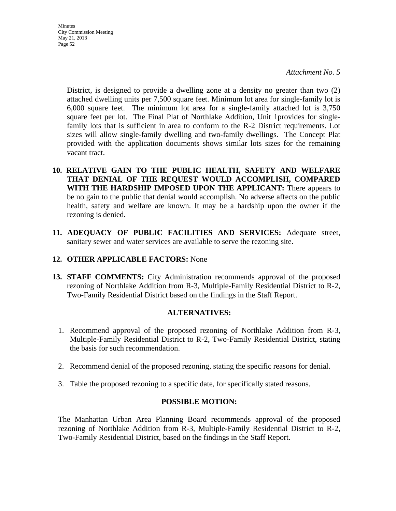*Attachment No. 5* 

District, is designed to provide a dwelling zone at a density no greater than two (2) attached dwelling units per 7,500 square feet. Minimum lot area for single-family lot is 6,000 square feet. The minimum lot area for a single-family attached lot is 3,750 square feet per lot. The Final Plat of Northlake Addition, Unit 1provides for singlefamily lots that is sufficient in area to conform to the R-2 District requirements. Lot sizes will allow single-family dwelling and two-family dwellings. The Concept Plat provided with the application documents shows similar lots sizes for the remaining vacant tract.

- **10. RELATIVE GAIN TO THE PUBLIC HEALTH, SAFETY AND WELFARE THAT DENIAL OF THE REQUEST WOULD ACCOMPLISH, COMPARED WITH THE HARDSHIP IMPOSED UPON THE APPLICANT:** There appears to be no gain to the public that denial would accomplish. No adverse affects on the public health, safety and welfare are known. It may be a hardship upon the owner if the rezoning is denied.
- **11. ADEQUACY OF PUBLIC FACILITIES AND SERVICES:** Adequate street, sanitary sewer and water services are available to serve the rezoning site.

## **12. OTHER APPLICABLE FACTORS:** None

**13. STAFF COMMENTS:** City Administration recommends approval of the proposed rezoning of Northlake Addition from R-3, Multiple-Family Residential District to R-2, Two-Family Residential District based on the findings in the Staff Report.

#### **ALTERNATIVES:**

- 1. Recommend approval of the proposed rezoning of Northlake Addition from R-3, Multiple-Family Residential District to R-2, Two-Family Residential District, stating the basis for such recommendation.
- 2. Recommend denial of the proposed rezoning, stating the specific reasons for denial.
- 3. Table the proposed rezoning to a specific date, for specifically stated reasons.

#### **POSSIBLE MOTION:**

The Manhattan Urban Area Planning Board recommends approval of the proposed rezoning of Northlake Addition from R-3, Multiple-Family Residential District to R-2, Two-Family Residential District, based on the findings in the Staff Report.